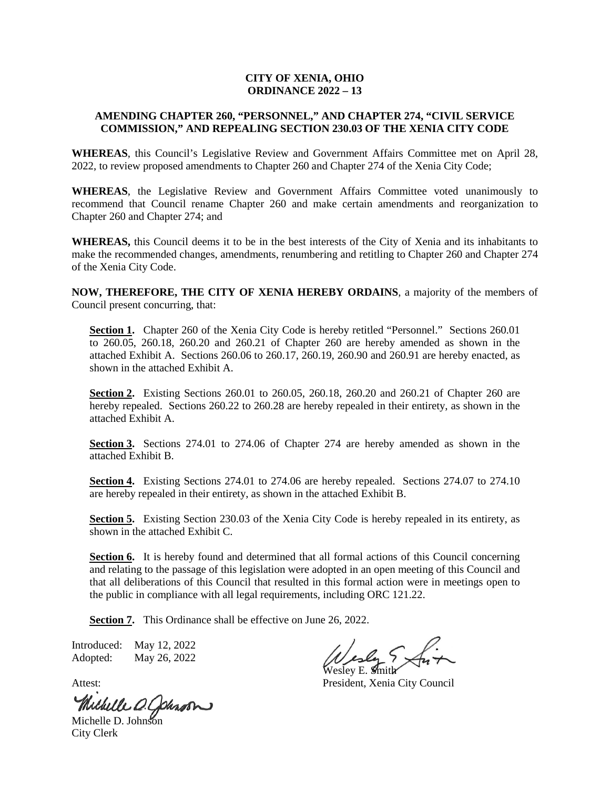#### **CITY OF XENIA, OHIO ORDINANCE 2022 – 13**

### **AMENDING CHAPTER 260, "PERSONNEL," AND CHAPTER 274, "CIVIL SERVICE COMMISSION," AND REPEALING SECTION 230.03 OF THE XENIA CITY CODE**

**WHEREAS**, this Council's Legislative Review and Government Affairs Committee met on April 28, 2022, to review proposed amendments to Chapter 260 and Chapter 274 of the Xenia City Code;

**WHEREAS**, the Legislative Review and Government Affairs Committee voted unanimously to recommend that Council rename Chapter 260 and make certain amendments and reorganization to Chapter 260 and Chapter 274; and

**WHEREAS,** this Council deems it to be in the best interests of the City of Xenia and its inhabitants to make the recommended changes, amendments, renumbering and retitling to Chapter 260 and Chapter 274 of the Xenia City Code.

**NOW, THEREFORE, THE CITY OF XENIA HEREBY ORDAINS**, a majority of the members of Council present concurring, that:

Section 1. Chapter 260 of the Xenia City Code is hereby retitled "Personnel." Sections 260.01 to 260.05, 260.18, 260.20 and 260.21 of Chapter 260 are hereby amended as shown in the attached Exhibit A. Sections 260.06 to 260.17, 260.19, 260.90 and 260.91 are hereby enacted, as shown in the attached Exhibit A.

**Section 2.** Existing Sections 260.01 to 260.05, 260.18, 260.20 and 260.21 of Chapter 260 are hereby repealed. Sections 260.22 to 260.28 are hereby repealed in their entirety, as shown in the attached Exhibit A.

**Section 3.** Sections 274.01 to 274.06 of Chapter 274 are hereby amended as shown in the attached Exhibit B.

**Section 4.** Existing Sections 274.01 to 274.06 are hereby repealed. Sections 274.07 to 274.10 are hereby repealed in their entirety, as shown in the attached Exhibit B.

**Section 5.** Existing Section 230.03 of the Xenia City Code is hereby repealed in its entirety, as shown in the attached Exhibit C.

**Section 6.** It is hereby found and determined that all formal actions of this Council concerning and relating to the passage of this legislation were adopted in an open meeting of this Council and that all deliberations of this Council that resulted in this formal action were in meetings open to the public in compliance with all legal requirements, including ORC 121.22.

**Section 7.** This Ordinance shall be effective on June 26, 2022.

Introduced: May 12, 2022 Adopted: May 26, 2022

Michelle O. Johnson

City Clerk

Wesley E. Smith

Attest: President, Xenia City Council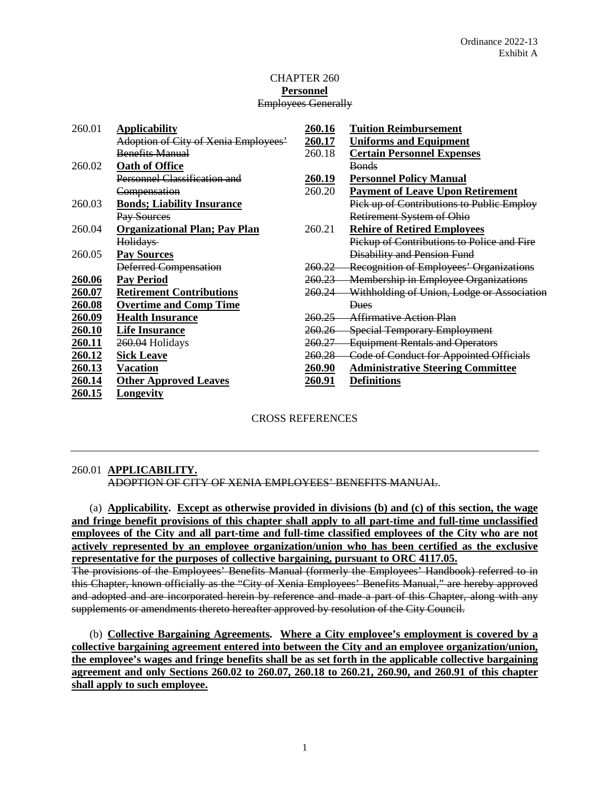#### CHAPTER 260 **Personnel** Employees Generally

| 260.01        | <b>Applicability</b>                 | 260.16            | <b>Tuition Reimbursement</b>                   |
|---------------|--------------------------------------|-------------------|------------------------------------------------|
|               | Adoption of City of Xenia Employees' | 260.17            | <b>Uniforms and Equipment</b>                  |
|               | <b>Benefits Manual</b>               | 260.18            | <b>Certain Personnel Expenses</b>              |
| 260.02        | <b>Oath of Office</b>                |                   | <b>Bonds</b>                                   |
|               | <b>Personnel Classification and</b>  | 260.19            | <b>Personnel Policy Manual</b>                 |
|               | Compensation                         | 260.20            | <b>Payment of Leave Upon Retirement</b>        |
| 260.03        | <b>Bonds; Liability Insurance</b>    |                   | Pick up of Contributions to Public Employ      |
|               | Pay Sources                          |                   | Retirement System of Ohio                      |
| 260.04        | <b>Organizational Plan; Pay Plan</b> | 260.21            | <b>Rehire of Retired Employees</b>             |
|               | <b>Holidays</b>                      |                   | Pickup of Contributions to Police and Fire     |
| 260.05        | <b>Pay Sources</b>                   |                   | <b>Disability and Pension Fund</b>             |
|               | Deferred Compensation                | <del>260.22</del> | Recognition of Employees' Organizations        |
| 260.06        | <b>Pay Period</b>                    |                   | 260.23 Membership in Employee Organizations    |
| 260.07        | <b>Retirement Contributions</b>      | <del>260.24</del> | Withholding of Union, Lodge or Association     |
| 260.08        | <b>Overtime and Comp Time</b>        |                   | <b>Dues</b>                                    |
| 260.09        | <b>Health Insurance</b>              | 260.25            | <b>Affirmative Action Plan</b>                 |
| 260.10        | <b>Life Insurance</b>                | 260.26            | <b>Special Temporary Employment</b>            |
| <u>260.11</u> | 260.04 Holidays                      | <del>260.27</del> | <b>Equipment Rentals and Operators</b>         |
| 260.12        | <b>Sick Leave</b>                    | $260.28 -$        | <b>Code of Conduct for Appointed Officials</b> |
| 260.13        | <b>Vacation</b>                      | 260.90            | <b>Administrative Steering Committee</b>       |
| <u>260.14</u> | <b>Other Approved Leaves</b>         | 260.91            | <b>Definitions</b>                             |
| 260.15        | Longevity                            |                   |                                                |

### CROSS REFERENCES

### 260.01 **APPLICABILITY.**

ADOPTION OF CITY OF XENIA EMPLOYEES' BENEFITS MANUAL.

(a) **Applicability. Except as otherwise provided in divisions (b) and (c) of this section, the wage and fringe benefit provisions of this chapter shall apply to all part-time and full-time unclassified employees of the City and all part-time and full-time classified employees of the City who are not actively represented by an employee organization/union who has been certified as the exclusive representative for the purposes of collective bargaining, pursuant to ORC 4117.05.**

The provisions of the Employees' Benefits Manual (formerly the Employees' Handbook) referred to in this Chapter, known officially as the "City of Xenia Employees' Benefits Manual," are hereby approved and adopted and are incorporated herein by reference and made a part of this Chapter, along with any supplements or amendments thereto hereafter approved by resolution of the City Council.

(b) **Collective Bargaining Agreements. Where a City employee's employment is covered by a collective bargaining agreement entered into between the City and an employee organization/union, the employee's wages and fringe benefits shall be as set forth in the applicable collective bargaining agreement and only Sections 260.02 to 260.07, 260.18 to 260.21, 260.90, and 260.91 of this chapter shall apply to such employee.**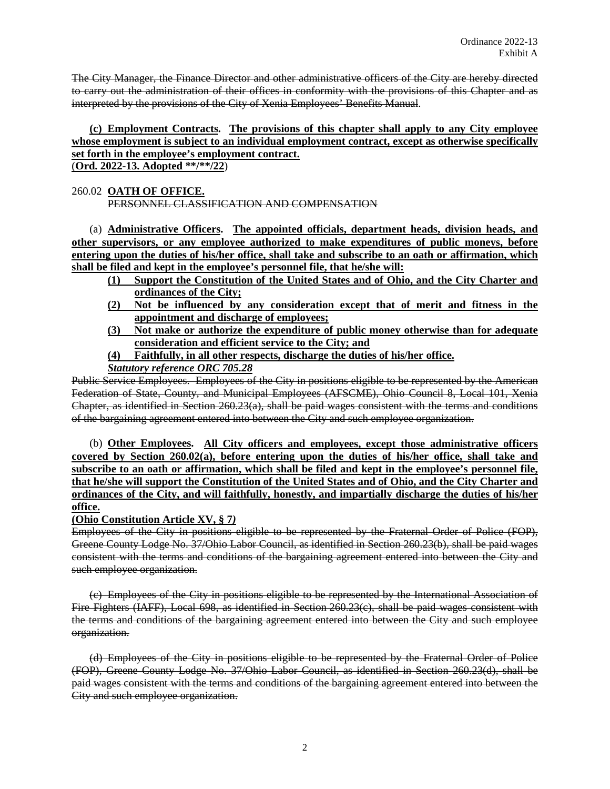The City Manager, the Finance Director and other administrative officers of the City are hereby directed to carry out the administration of their offices in conformity with the provisions of this Chapter and as interpreted by the provisions of the City of Xenia Employees' Benefits Manual.

### **(c) Employment Contracts. The provisions of this chapter shall apply to any City employee whose employment is subject to an individual employment contract, except as otherwise specifically set forth in the employee's employment contract.** (**Ord. 2022-13. Adopted \*\*/\*\*/22**)

# 260.02 **OATH OF OFFICE.**

PERSONNEL CLASSIFICATION AND COMPENSATION

(a) **Administrative Officers. The appointed officials, department heads, division heads, and other supervisors, or any employee authorized to make expenditures of public moneys, before entering upon the duties of his/her office, shall take and subscribe to an oath or affirmation, which shall be filed and kept in the employee's personnel file, that he/she will:** 

- **(1) Support the Constitution of the United States and of Ohio, and the City Charter and ordinances of the City;**
- **(2) Not be influenced by any consideration except that of merit and fitness in the appointment and discharge of employees;**
- **(3) Not make or authorize the expenditure of public money otherwise than for adequate consideration and efficient service to the City; and**
- **(4) Faithfully, in all other respects, discharge the duties of his/her office.**

*Statutory reference ORC 705.28*

Public Service Employees. Employees of the City in positions eligible to be represented by the American Federation of State, County, and Municipal Employees (AFSCME), Ohio Council 8, Local 101, Xenia Chapter, as identified in Section 260.23(a), shall be paid wages consistent with the terms and conditions of the bargaining agreement entered into between the City and such employee organization.

(b) **Other Employees. All City officers and employees, except those administrative officers covered by Section 260.02(a), before entering upon the duties of his/her office, shall take and subscribe to an oath or affirmation, which shall be filed and kept in the employee's personnel file, that he/she will support the Constitution of the United States and of Ohio, and the City Charter and ordinances of the City, and will faithfully, honestly, and impartially discharge the duties of his/her office.**

**(Ohio Constitution Article XV, § 7***)*

Employees of the City in positions eligible to be represented by the Fraternal Order of Police (FOP), Greene County Lodge No. 37/Ohio Labor Council, as identified in Section 260.23(b), shall be paid wages consistent with the terms and conditions of the bargaining agreement entered into between the City and such employee organization.

(c) Employees of the City in positions eligible to be represented by the International Association of Fire Fighters (IAFF), Local 698, as identified in Section 260.23(c), shall be paid wages consistent with the terms and conditions of the bargaining agreement entered into between the City and such employee organization.

(d) Employees of the City in positions eligible to be represented by the Fraternal Order of Police (FOP), Greene County Lodge No. 37/Ohio Labor Council, as identified in Section 260.23(d), shall be paid wages consistent with the terms and conditions of the bargaining agreement entered into between the City and such employee organization.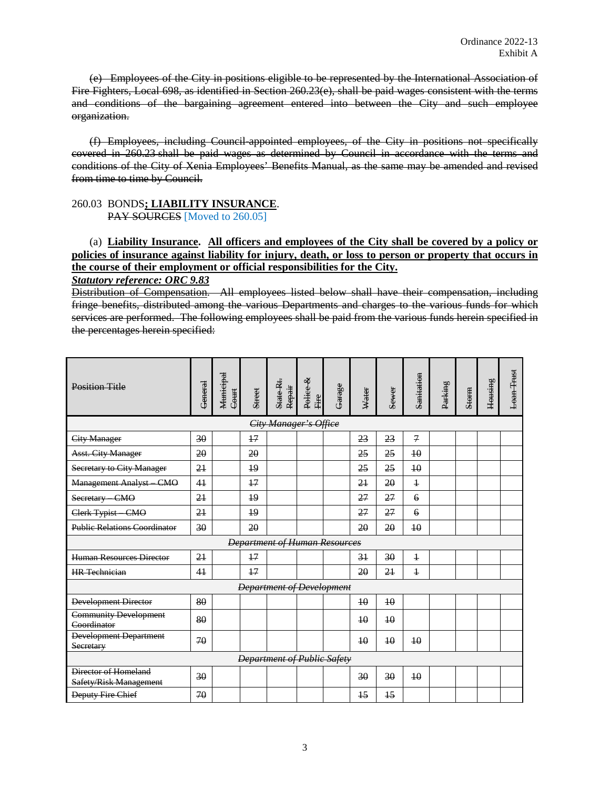(e) Employees of the City in positions eligible to be represented by the International Association of Fire Fighters, Local 698, as identified in Section 260.23(e), shall be paid wages consistent with the terms and conditions of the bargaining agreement entered into between the City and such employee organization.

(f) Employees, including Council-appointed employees, of the City in positions not specifically covered in 260.23 shall be paid wages as determined by Council in accordance with the terms and conditions of the City of Xenia Employees' Benefits Manual, as the same may be amended and revised from time to time by Council.

#### 260.03 BONDS**; LIABILITY INSURANCE**. PAY SOURCES [Moved to 260.05]

(a) **Liability Insurance. All officers and employees of the City shall be covered by a policy or policies of insurance against liability for injury, death, or loss to person or property that occurs in the course of their employment or official responsibilities for the City.**

*Statutory reference: ORC 9.83*

Distribution of Compensation. All employees listed below shall have their compensation, including fringe benefits, distributed among the various Departments and charges to the various funds for which services are performed. The following employees shall be paid from the various funds herein specified in the percentages herein specified:

| <b>Position Title</b>                          | General                     | Municipal<br>Court | Street          | State-Rt.<br>Repair              | Pelice &<br>Eire | <b>Garage</b> | Water           | Sewer           | Sanitation     | Parking | Storm | <b>Housing</b> | Loan Trust |
|------------------------------------------------|-----------------------------|--------------------|-----------------|----------------------------------|------------------|---------------|-----------------|-----------------|----------------|---------|-------|----------------|------------|
| City Manager's Office                          |                             |                    |                 |                                  |                  |               |                 |                 |                |         |       |                |            |
| <b>City Manager</b>                            | 30                          |                    | $+7$            |                                  |                  |               | 23              | 23              | $\overline{z}$ |         |       |                |            |
| <b>Asst. City Manager</b>                      | 20                          |                    | 20              |                                  |                  |               | 25              | 25              | 40             |         |       |                |            |
| Secretary to City Manager                      | 2 <sub>1</sub>              |                    | $\overline{19}$ |                                  |                  |               | 25              | 25              | 40             |         |       |                |            |
| <b>Management Analyst - CMO</b>                | 41                          |                    | 17              |                                  |                  |               | 2 <sub>1</sub>  | 20              | $\ddagger$     |         |       |                |            |
| Secretary CMO                                  | 2 <sub>1</sub>              |                    | 19              |                                  |                  |               | 27              | 27              | $\epsilon$     |         |       |                |            |
| Clerk Typist CMO                               | 2 <sub>1</sub>              |                    | 19              |                                  |                  |               | 27              | 27              | $\overline{6}$ |         |       |                |            |
| <b>Public Relations Coordinator</b>            | 30                          |                    | 20              |                                  |                  |               | 20              | 20              | 10             |         |       |                |            |
| <b>Department of Human Resources</b>           |                             |                    |                 |                                  |                  |               |                 |                 |                |         |       |                |            |
| <b>Human Resources Director</b>                | 21                          |                    | 17              |                                  |                  |               | 31              | 30              | $\ddagger$     |         |       |                |            |
| <b>HR</b> Technician                           | 41                          |                    | 17              |                                  |                  |               | 20              | 21              | $\mathbf{1}$   |         |       |                |            |
|                                                |                             |                    |                 | <b>Department of Development</b> |                  |               |                 |                 |                |         |       |                |            |
| <b>Development Director</b>                    | 80                          |                    |                 |                                  |                  |               | 10              | 10              |                |         |       |                |            |
| <b>Community Development</b><br>Coordinator    | 80                          |                    |                 |                                  |                  |               | $\overline{10}$ | 10              |                |         |       |                |            |
| Development Department<br>Secretary            | 70                          |                    |                 |                                  |                  |               | $\overline{10}$ | 10              | 10             |         |       |                |            |
|                                                | Department of Public Safety |                    |                 |                                  |                  |               |                 |                 |                |         |       |                |            |
| Director of Homeland<br>Safety/Risk Management | 30                          |                    |                 |                                  |                  |               | 30              | 30              | 40             |         |       |                |            |
| <b>Deputy Fire Chief</b>                       | 70                          |                    |                 |                                  |                  |               | $\overline{15}$ | $\overline{15}$ |                |         |       |                |            |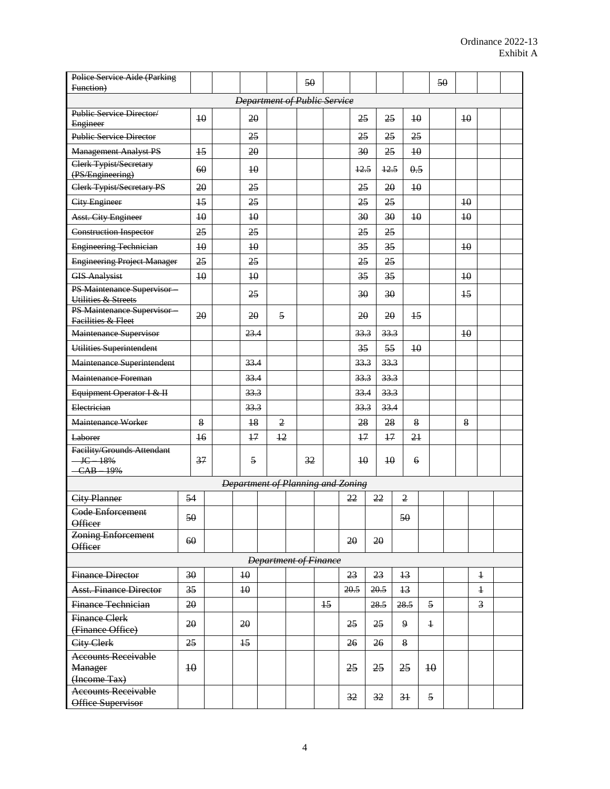| Police Service Aide (Parking                                    |                 |  |                                   |                              |  | 50 |      |      |      |                 |                 |                 | 50 |                 |                |  |
|-----------------------------------------------------------------|-----------------|--|-----------------------------------|------------------------------|--|----|------|------|------|-----------------|-----------------|-----------------|----|-----------------|----------------|--|
| Function)                                                       |                 |  |                                   |                              |  |    |      |      |      |                 |                 |                 |    |                 |                |  |
| <b>Department of Public Service</b><br>Public Service Director/ |                 |  |                                   |                              |  |    |      |      |      |                 |                 |                 |    |                 |                |  |
| Engineer                                                        | 10              |  | 20                                |                              |  |    |      |      | 25   | 25              |                 | $\overline{10}$ |    | $40$            |                |  |
| <b>Public Service Director</b>                                  |                 |  | 25                                |                              |  |    |      |      | 25   | 25              |                 | 25              |    |                 |                |  |
| <b>Management Analyst PS</b>                                    | 15              |  | 20                                |                              |  |    |      |      | 30   | 25              |                 | $\overline{10}$ |    |                 |                |  |
| Clerk Typist/Secretary<br>(PS/Engineering)                      | 60              |  | $\overline{10}$                   |                              |  |    |      |      | 12.5 | 12.5            |                 | 0.5             |    |                 |                |  |
| Clerk Typist/Secretary PS                                       | 20              |  | 25                                |                              |  |    |      |      | 25   | 20              |                 | $\overline{10}$ |    |                 |                |  |
| <b>City Engineer</b>                                            | 15              |  | 25                                |                              |  |    |      |      | 25   | 25              |                 |                 |    | 10              |                |  |
| <b>Asst. City Engineer</b>                                      | $10$            |  | $40$                              |                              |  |    |      |      | 30   | 30              |                 | $\overline{10}$ |    | $\overline{10}$ |                |  |
| <b>Construction Inspector</b>                                   | 25              |  | 25                                |                              |  |    |      |      | 25   | 25              |                 |                 |    |                 |                |  |
| Engineering Technician                                          | $\overline{10}$ |  | $\overline{10}$                   |                              |  |    |      |      | 35   | 35              |                 |                 |    | $40$            |                |  |
| <b>Engineering Project Manager</b>                              | 25              |  | 25                                |                              |  |    |      |      | 25   | 25              |                 |                 |    |                 |                |  |
| <b>GIS Analysist</b>                                            | $\overline{10}$ |  | $\overline{10}$                   |                              |  |    |      |      | 35   | 35              |                 |                 |    | $\overline{10}$ |                |  |
| PS Maintenance Supervisor<br>Utilities & Streets                |                 |  | 25                                |                              |  |    |      |      | 30   | 30              |                 |                 |    | 15              |                |  |
| PS Maintenance Supervisor<br>Facilities & Fleet                 | 20              |  | 20                                | 5                            |  |    |      |      | 20   | 20              |                 | $\frac{15}{2}$  |    |                 |                |  |
| Maintenance Supervisor                                          |                 |  | 23.4                              |                              |  |    |      |      | 33.3 | 33.3            |                 |                 |    | $\overline{10}$ |                |  |
| Utilities Superintendent                                        |                 |  |                                   |                              |  |    |      |      | 35   | 55              |                 | $\overline{10}$ |    |                 |                |  |
| Maintenance Superintendent                                      |                 |  | 33.4                              |                              |  |    |      |      | 33.3 | 33.3            |                 |                 |    |                 |                |  |
| Maintenance Foreman                                             |                 |  | 33.4                              |                              |  |    |      |      | 33.3 | 33.3            |                 |                 |    |                 |                |  |
| Equipment Operator I & II                                       |                 |  | 33.3                              |                              |  |    |      |      | 33.4 | 33.3            |                 |                 |    |                 |                |  |
| Electrician                                                     |                 |  | 33.3                              |                              |  |    |      |      | 33.3 | 33.4            |                 |                 |    |                 |                |  |
| Maintenance Worker                                              | $\bf 8$         |  | 18                                | $\overline{2}$               |  |    |      |      | 28   | 28              |                 | $8\,$           |    | 8               |                |  |
| <b>Laborer</b>                                                  | $\overline{16}$ |  | $+7$                              | 12                           |  |    |      |      | $+7$ | $+7$            |                 | 21              |    |                 |                |  |
| Facility/Grounds Attendant<br>$-$ IC $-$ 18%<br>CAB 19%         | 37              |  | 5                                 |                              |  | 32 |      |      | 40   | $\overline{10}$ |                 | 6               |    |                 |                |  |
|                                                                 |                 |  | Department of Planning and Zoning |                              |  |    |      |      |      |                 |                 |                 |    |                 |                |  |
| <b>City Planner</b>                                             | 54              |  |                                   |                              |  |    |      | 22   |      | 22              | $\overline{2}$  |                 |    |                 |                |  |
| Code Enforcement                                                |                 |  |                                   |                              |  |    |      |      |      |                 |                 |                 |    |                 |                |  |
| <b>Officer</b>                                                  | 50              |  |                                   |                              |  |    |      |      |      |                 | 50              |                 |    |                 |                |  |
| <b>Zoning Enforcement</b><br>Officer                            | 60              |  |                                   |                              |  |    |      | 20   |      | 20              |                 |                 |    |                 |                |  |
|                                                                 |                 |  |                                   | <b>Department of Finance</b> |  |    |      |      |      |                 |                 |                 |    |                 |                |  |
| <b>Finance Director</b>                                         | 30              |  | $\overline{10}$                   |                              |  |    |      | 23   |      | 23              | $\overline{13}$ |                 |    |                 | $\ddagger$     |  |
| <b>Asst. Finance Director</b>                                   | 35              |  | 10                                |                              |  |    |      | 20.5 |      | 20.5            | $\overline{13}$ |                 |    |                 | $\ddagger$     |  |
| Finance Technician                                              | 20              |  |                                   |                              |  |    | $+5$ |      |      | 28.5            | 28.5            | 5               |    |                 | $\overline{3}$ |  |
| <b>Finance Clerk</b>                                            | 20              |  | 20                                |                              |  |    |      | 25   |      | 25              | 9               | $\ddagger$      |    |                 |                |  |
| (Finance Office)                                                |                 |  |                                   |                              |  |    |      |      |      |                 |                 |                 |    |                 |                |  |
| City Clerk                                                      | 25              |  | 15                                |                              |  |    |      | 26   |      | 26              | 8               |                 |    |                 |                |  |
| <b>Accounts Receivable</b>                                      | $\overline{10}$ |  |                                   |                              |  |    |      |      |      |                 |                 | $\overline{10}$ |    |                 |                |  |
| <b>Manager</b><br>(Income Tax)                                  |                 |  |                                   |                              |  |    |      | 25   |      | 25              | 25              |                 |    |                 |                |  |
| <b>Accounts Receivable</b>                                      |                 |  |                                   |                              |  |    |      | 32   |      | 32              |                 | 5               |    |                 |                |  |
| Office Supervisor                                               |                 |  |                                   |                              |  |    |      |      |      |                 | 31              |                 |    |                 |                |  |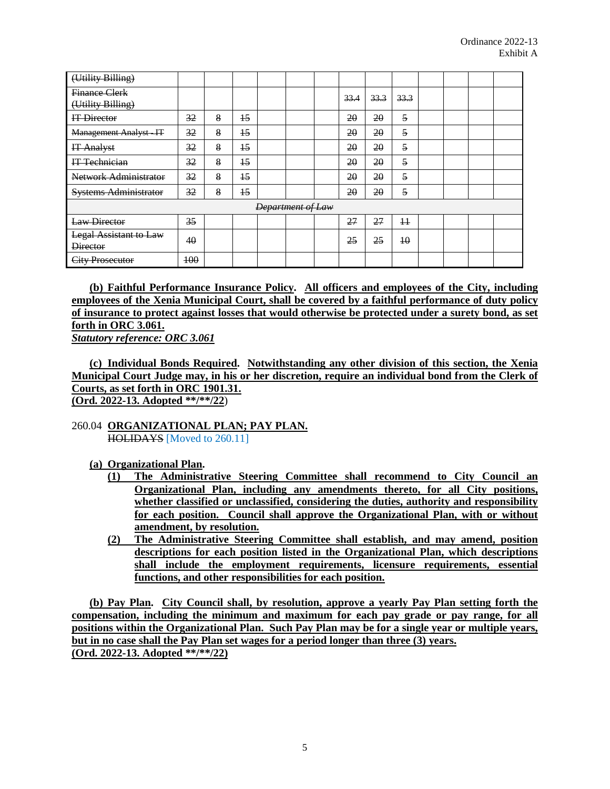| (Utility Billing)                                |     |   |                 |                   |      |      |                 |  |  |
|--------------------------------------------------|-----|---|-----------------|-------------------|------|------|-----------------|--|--|
| <b>Finance Clerk</b><br>(Utility Billing)        |     |   |                 |                   | 33.4 | 33.3 | 33.3            |  |  |
| IT Director                                      | 32  | 8 | $\overline{15}$ |                   | 20   | 20   | 5               |  |  |
| <b>Management Analyst-IT</b>                     | 32  | 8 | 15              |                   | 20   | 20   | 5               |  |  |
| <b>IT Analyst</b>                                | 32  | 8 | $\overline{15}$ |                   | 20   | 20   | 5               |  |  |
| IT Technician                                    | 32  | 8 | 15              |                   | 20   | 20   | 5               |  |  |
| Network Administrator                            | 32  | 8 | $\overline{15}$ |                   | 20   | 20   | 5               |  |  |
| <b>Systems Administrator</b>                     | 32  | 8 | 15              |                   | 20   | 20   | 5               |  |  |
|                                                  |     |   |                 | Department of Law |      |      |                 |  |  |
| Law Director                                     | 35  |   |                 |                   | 27   | 27   | $\pm$           |  |  |
| <b>Legal Assistant to Law</b><br><b>Director</b> | 40  |   |                 |                   | 25   | 25   | $\overline{10}$ |  |  |
| <b>City Prosecutor</b>                           | 100 |   |                 |                   |      |      |                 |  |  |

**(b) Faithful Performance Insurance Policy. All officers and employees of the City, including employees of the Xenia Municipal Court, shall be covered by a faithful performance of duty policy of insurance to protect against losses that would otherwise be protected under a surety bond, as set forth in ORC 3.061.**

*Statutory reference: ORC 3.061*

**(c) Individual Bonds Required. Notwithstanding any other division of this section, the Xenia Municipal Court Judge may, in his or her discretion, require an individual bond from the Clerk of Courts, as set forth in ORC 1901.31. (Ord. 2022-13. Adopted \*\*/\*\*/22**)

### 260.04 **ORGANIZATIONAL PLAN; PAY PLAN.** HOLIDAYS [Moved to 260.11]

### **(a) Organizational Plan.**

- **(1) The Administrative Steering Committee shall recommend to City Council an Organizational Plan, including any amendments thereto, for all City positions, whether classified or unclassified, considering the duties, authority and responsibility for each position. Council shall approve the Organizational Plan, with or without amendment, by resolution.**
- **(2) The Administrative Steering Committee shall establish, and may amend, position descriptions for each position listed in the Organizational Plan, which descriptions shall include the employment requirements, licensure requirements, essential functions, and other responsibilities for each position.**

**(b) Pay Plan. City Council shall, by resolution, approve a yearly Pay Plan setting forth the compensation, including the minimum and maximum for each pay grade or pay range, for all positions within the Organizational Plan. Such Pay Plan may be for a single year or multiple years, but in no case shall the Pay Plan set wages for a period longer than three (3) years. (Ord. 2022-13. Adopted \*\*/\*\*/22)**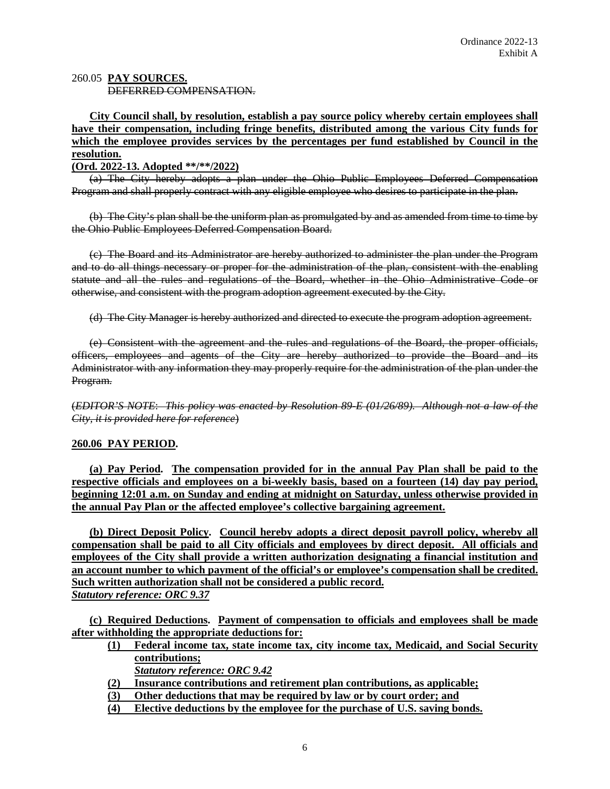#### 260.05 **PAY SOURCES.** DEFERRED COMPENSATION.

# **City Council shall, by resolution, establish a pay source policy whereby certain employees shall have their compensation, including fringe benefits, distributed among the various City funds for which the employee provides services by the percentages per fund established by Council in the resolution.**

### **(Ord. 2022-13. Adopted \*\*/\*\*/2022)**

(a) The City hereby adopts a plan under the Ohio Public Employees Deferred Compensation Program and shall properly contract with any eligible employee who desires to participate in the plan.

(b) The City's plan shall be the uniform plan as promulgated by and as amended from time to time by the Ohio Public Employees Deferred Compensation Board.

(c) The Board and its Administrator are hereby authorized to administer the plan under the Program and to do all things necessary or proper for the administration of the plan, consistent with the enabling statute and all the rules and regulations of the Board, whether in the Ohio Administrative Code or otherwise, and consistent with the program adoption agreement executed by the City.

(d) The City Manager is hereby authorized and directed to execute the program adoption agreement.

(e) Consistent with the agreement and the rules and regulations of the Board, the proper officials, officers, employees and agents of the City are hereby authorized to provide the Board and its Administrator with any information they may properly require for the administration of the plan under the Program.

(*EDITOR'S NOTE*: *This policy was enacted by Resolution 89-E (01/26/89). Although not a law of the City, it is provided here for reference*)

### **260.06 PAY PERIOD.**

**(a) Pay Period. The compensation provided for in the annual Pay Plan shall be paid to the respective officials and employees on a bi-weekly basis, based on a fourteen (14) day pay period, beginning 12:01 a.m. on Sunday and ending at midnight on Saturday, unless otherwise provided in the annual Pay Plan or the affected employee's collective bargaining agreement.** 

**(b) Direct Deposit Policy. Council hereby adopts a direct deposit payroll policy, whereby all compensation shall be paid to all City officials and employees by direct deposit. All officials and employees of the City shall provide a written authorization designating a financial institution and an account number to which payment of the official's or employee's compensation shall be credited. Such written authorization shall not be considered a public record.** *Statutory reference: ORC 9.37*

**(c) Required Deductions. Payment of compensation to officials and employees shall be made after withholding the appropriate deductions for:**

- **(1) Federal income tax, state income tax, city income tax, Medicaid, and Social Security contributions;**
	- *Statutory reference: ORC 9.42*
- **(2) Insurance contributions and retirement plan contributions, as applicable;**
- **(3) Other deductions that may be required by law or by court order; and**
- **(4) Elective deductions by the employee for the purchase of U.S. saving bonds.**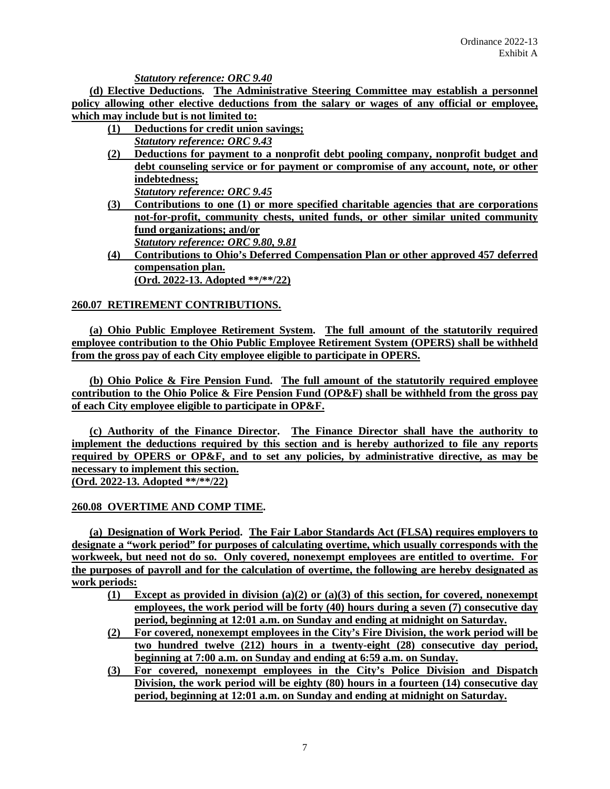*Statutory reference: ORC 9.40*

**(d) Elective Deductions. The Administrative Steering Committee may establish a personnel policy allowing other elective deductions from the salary or wages of any official or employee, which may include but is not limited to:**

- **(1) Deductions for credit union savings;** *Statutory reference: ORC 9.43*
- **(2) Deductions for payment to a nonprofit debt pooling company, nonprofit budget and debt counseling service or for payment or compromise of any account, note, or other indebtedness;**  *Statutory reference: ORC 9.45*
- **(3) Contributions to one (1) or more specified charitable agencies that are corporations not-for-profit, community chests, united funds, or other similar united community fund organizations; and/or** *Statutory reference: ORC 9.80, 9.81*
- **(4) Contributions to Ohio's Deferred Compensation Plan or other approved 457 deferred compensation plan. (Ord. 2022-13. Adopted \*\*/\*\*/22)**

# **260.07 RETIREMENT CONTRIBUTIONS.**

**(a) Ohio Public Employee Retirement System. The full amount of the statutorily required employee contribution to the Ohio Public Employee Retirement System (OPERS) shall be withheld from the gross pay of each City employee eligible to participate in OPERS.** 

**(b) Ohio Police & Fire Pension Fund. The full amount of the statutorily required employee contribution to the Ohio Police & Fire Pension Fund (OP&F) shall be withheld from the gross pay of each City employee eligible to participate in OP&F.**

**(c) Authority of the Finance Director. The Finance Director shall have the authority to implement the deductions required by this section and is hereby authorized to file any reports required by OPERS or OP&F, and to set any policies, by administrative directive, as may be necessary to implement this section. (Ord. 2022-13. Adopted \*\*/\*\*/22)**

### **260.08 OVERTIME AND COMP TIME.**

**(a) Designation of Work Period. The Fair Labor Standards Act (FLSA) requires employers to designate a "work period" for purposes of calculating overtime, which usually corresponds with the workweek, but need not do so. Only covered, nonexempt employees are entitled to overtime. For the purposes of payroll and for the calculation of overtime, the following are hereby designated as work periods:**

- **(1) Except as provided in division (a)(2) or (a)(3) of this section, for covered, nonexempt employees, the work period will be forty (40) hours during a seven (7) consecutive day period, beginning at 12:01 a.m. on Sunday and ending at midnight on Saturday.**
- **(2) For covered, nonexempt employees in the City's Fire Division, the work period will be two hundred twelve (212) hours in a twenty-eight (28) consecutive day period, beginning at 7:00 a.m. on Sunday and ending at 6:59 a.m. on Sunday.**
- **(3) For covered, nonexempt employees in the City's Police Division and Dispatch Division, the work period will be eighty (80) hours in a fourteen (14) consecutive day period, beginning at 12:01 a.m. on Sunday and ending at midnight on Saturday.**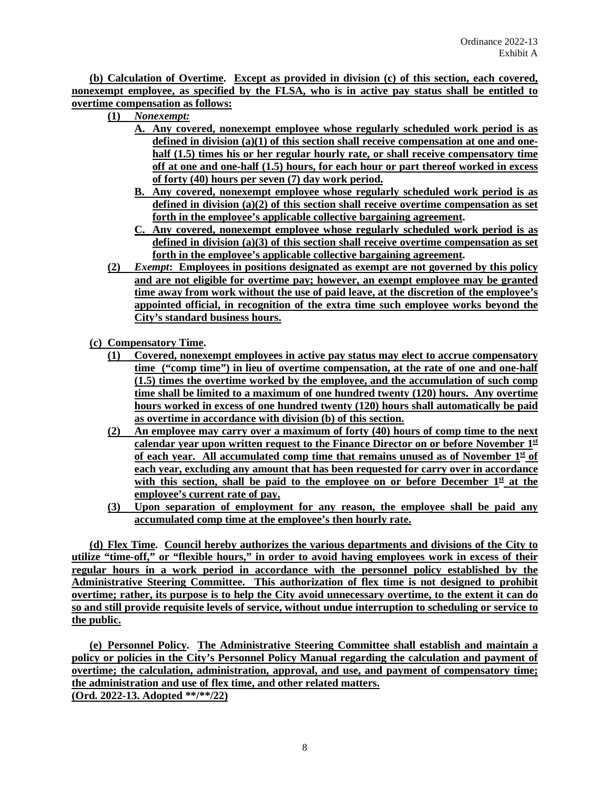**(b) Calculation of Overtime. Except as provided in division (c) of this section, each covered, nonexempt employee, as specified by the FLSA, who is in active pay status shall be entitled to overtime compensation as follows:**

- **(1)** *Nonexempt:*
	- **A. Any covered, nonexempt employee whose regularly scheduled work period is as defined in division (a)(1) of this section shall receive compensation at one and onehalf (1.5) times his or her regular hourly rate, or shall receive compensatory time off at one and one-half (1.5) hours, for each hour or part thereof worked in excess of forty (40) hours per seven (7) day work period.**
	- **B. Any covered, nonexempt employee whose regularly scheduled work period is as defined in division (a)(2) of this section shall receive overtime compensation as set forth in the employee's applicable collective bargaining agreement.**
	- **C. Any covered, nonexempt employee whose regularly scheduled work period is as defined in division (a)(3) of this section shall receive overtime compensation as set forth in the employee's applicable collective bargaining agreement.**
- **(2)** *Exempt***: Employees in positions designated as exempt are not governed by this policy and are not eligible for overtime pay; however, an exempt employee may be granted time away from work without the use of paid leave, at the discretion of the employee's appointed official, in recognition of the extra time such employee works beyond the City's standard business hours.**
- **(c) Compensatory Time.** 
	- **(1) Covered, nonexempt employees in active pay status may elect to accrue compensatory time ("comp time") in lieu of overtime compensation, at the rate of one and one-half (1.5) times the overtime worked by the employee, and the accumulation of such comp time shall be limited to a maximum of one hundred twenty (120) hours. Any overtime hours worked in excess of one hundred twenty (120) hours shall automatically be paid as overtime in accordance with division (b) of this section.**
	- **(2) An employee may carry over a maximum of forty (40) hours of comp time to the next calendar year upon written request to the Finance Director on or before November 1st** of each year. All accumulated comp time that remains unused as of November  $1<sup>st</sup>$  of **each year, excluding any amount that has been requested for carry over in accordance**  with this section, shall be paid to the employee on or before December  $1<sup>st</sup>$  at the **employee's current rate of pay.**
	- **(3) Upon separation of employment for any reason, the employee shall be paid any accumulated comp time at the employee's then hourly rate.**

**(d) Flex Time. Council hereby authorizes the various departments and divisions of the City to utilize "time-off," or "flexible hours," in order to avoid having employees work in excess of their regular hours in a work period in accordance with the personnel policy established by the Administrative Steering Committee. This authorization of flex time is not designed to prohibit overtime; rather, its purpose is to help the City avoid unnecessary overtime, to the extent it can do so and still provide requisite levels of service, without undue interruption to scheduling or service to the public.**

**(e) Personnel Policy. The Administrative Steering Committee shall establish and maintain a policy or policies in the City's Personnel Policy Manual regarding the calculation and payment of overtime; the calculation, administration, approval, and use, and payment of compensatory time; the administration and use of flex time, and other related matters. (Ord. 2022-13. Adopted \*\*/\*\*/22)**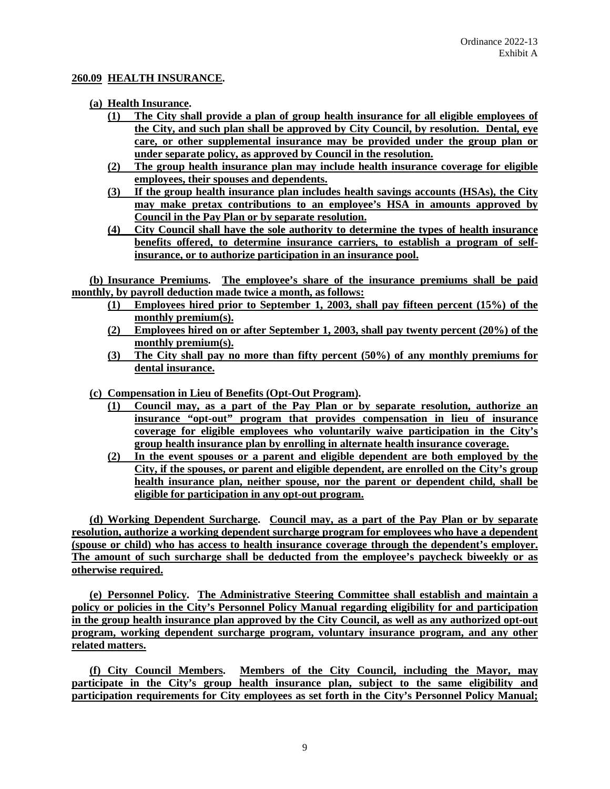#### **260.09 HEALTH INSURANCE.**

#### **(a) Health Insurance.**

- **(1) The City shall provide a plan of group health insurance for all eligible employees of the City, and such plan shall be approved by City Council, by resolution. Dental, eye care, or other supplemental insurance may be provided under the group plan or under separate policy, as approved by Council in the resolution.**
- **(2) The group health insurance plan may include health insurance coverage for eligible employees, their spouses and dependents.**
- **(3) If the group health insurance plan includes health savings accounts (HSAs), the City may make pretax contributions to an employee's HSA in amounts approved by Council in the Pay Plan or by separate resolution.**
- **(4) City Council shall have the sole authority to determine the types of health insurance benefits offered, to determine insurance carriers, to establish a program of selfinsurance, or to authorize participation in an insurance pool.**

**(b) Insurance Premiums. The employee's share of the insurance premiums shall be paid monthly, by payroll deduction made twice a month, as follows:**

- **(1) Employees hired prior to September 1, 2003, shall pay fifteen percent (15%) of the monthly premium(s).**
- **(2) Employees hired on or after September 1, 2003, shall pay twenty percent (20%) of the monthly premium(s).**
- **(3) The City shall pay no more than fifty percent (50%) of any monthly premiums for dental insurance.**

**(c) Compensation in Lieu of Benefits (Opt-Out Program).** 

- **(1) Council may, as a part of the Pay Plan or by separate resolution, authorize an insurance "opt-out" program that provides compensation in lieu of insurance coverage for eligible employees who voluntarily waive participation in the City's group health insurance plan by enrolling in alternate health insurance coverage.**
- **(2) In the event spouses or a parent and eligible dependent are both employed by the City, if the spouses, or parent and eligible dependent, are enrolled on the City's group health insurance plan, neither spouse, nor the parent or dependent child, shall be eligible for participation in any opt-out program.**

**(d) Working Dependent Surcharge. Council may, as a part of the Pay Plan or by separate resolution, authorize a working dependent surcharge program for employees who have a dependent (spouse or child) who has access to health insurance coverage through the dependent's employer. The amount of such surcharge shall be deducted from the employee's paycheck biweekly or as otherwise required.**

**(e) Personnel Policy. The Administrative Steering Committee shall establish and maintain a policy or policies in the City's Personnel Policy Manual regarding eligibility for and participation in the group health insurance plan approved by the City Council, as well as any authorized opt-out program, working dependent surcharge program, voluntary insurance program, and any other related matters.**

**(f) City Council Members. Members of the City Council, including the Mayor, may participate in the City's group health insurance plan, subject to the same eligibility and participation requirements for City employees as set forth in the City's Personnel Policy Manual;**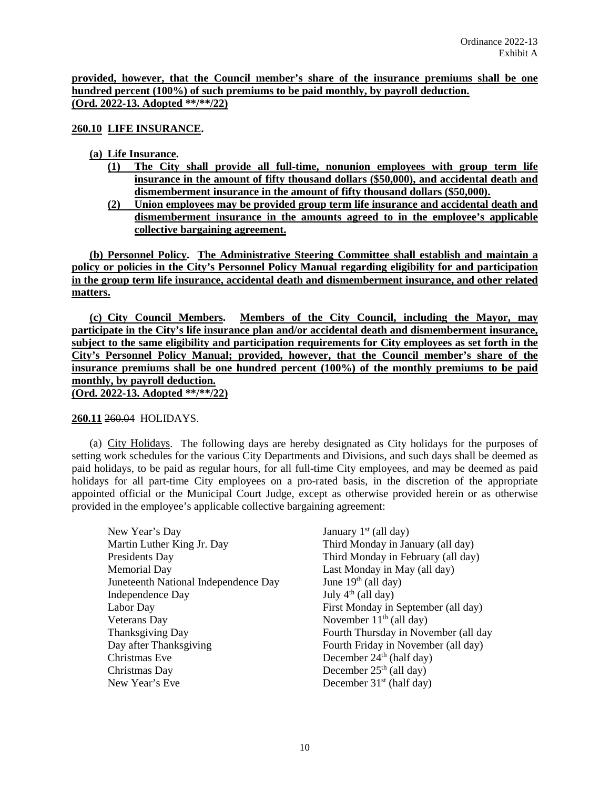**provided, however, that the Council member's share of the insurance premiums shall be one hundred percent (100%) of such premiums to be paid monthly, by payroll deduction. (Ord. 2022-13. Adopted \*\*/\*\*/22)**

**260.10 LIFE INSURANCE.**

#### **(a) Life Insurance.**

- **(1) The City shall provide all full-time, nonunion employees with group term life insurance in the amount of fifty thousand dollars (\$50,000), and accidental death and dismemberment insurance in the amount of fifty thousand dollars (\$50,000).**
- **(2) Union employees may be provided group term life insurance and accidental death and dismemberment insurance in the amounts agreed to in the employee's applicable collective bargaining agreement.**

**(b) Personnel Policy. The Administrative Steering Committee shall establish and maintain a policy or policies in the City's Personnel Policy Manual regarding eligibility for and participation in the group term life insurance, accidental death and dismemberment insurance, and other related matters.**

**(c) City Council Members. Members of the City Council, including the Mayor, may participate in the City's life insurance plan and/or accidental death and dismemberment insurance, subject to the same eligibility and participation requirements for City employees as set forth in the City's Personnel Policy Manual; provided, however, that the Council member's share of the insurance premiums shall be one hundred percent (100%) of the monthly premiums to be paid monthly, by payroll deduction. (Ord. 2022-13. Adopted \*\*/\*\*/22)**

#### **260.11** 260.04 HOLIDAYS.

(a) City Holidays. The following days are hereby designated as City holidays for the purposes of setting work schedules for the various City Departments and Divisions, and such days shall be deemed as paid holidays, to be paid as regular hours, for all full-time City employees, and may be deemed as paid holidays for all part-time City employees on a pro-rated basis, in the discretion of the appropriate appointed official or the Municipal Court Judge, except as otherwise provided herein or as otherwise provided in the employee's applicable collective bargaining agreement:

| New Year's Day                       |
|--------------------------------------|
| Martin Luther King Jr. Day           |
| Presidents Day                       |
| <b>Memorial Day</b>                  |
| Juneteenth National Independence Day |
| Independence Day                     |
| Labor Day                            |
| <b>Veterans</b> Day                  |
| <b>Thanksgiving Day</b>              |
| Day after Thanksgiving               |
| Christmas Eve                        |
| Christmas Day                        |
| New Year's Eve                       |

January  $1<sup>st</sup>$  (all day) Third Monday in January (all day) Third Monday in February (all day) Last Monday in May (all day) June  $19<sup>th</sup>$  (all day) July 4<sup>th</sup> (all day) First Monday in September (all day) November  $11<sup>th</sup>$  (all day) Fourth Thursday in November (all day Fourth Friday in November (all day) December  $24<sup>th</sup>$  (half day) December  $25<sup>th</sup>$  (all day) December  $31<sup>st</sup>$  (half day)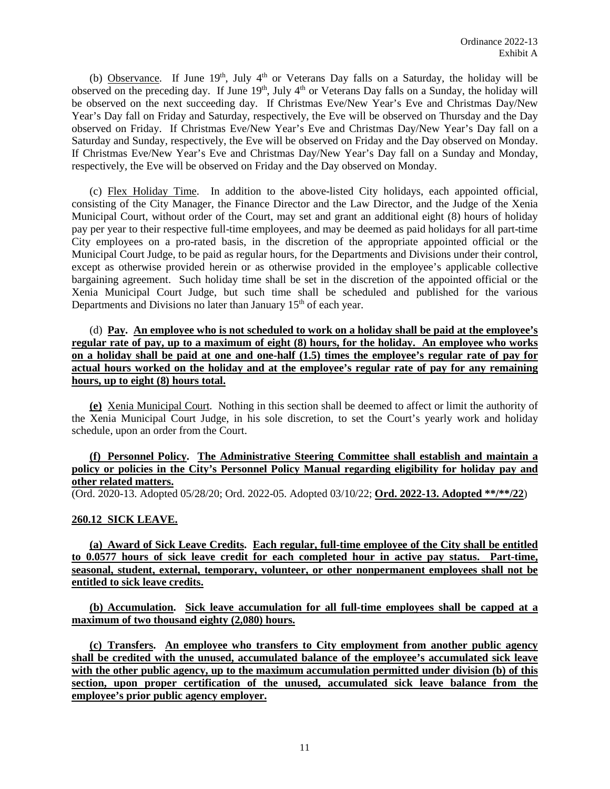(b) Observance. If June  $19<sup>th</sup>$ , July  $4<sup>th</sup>$  or Veterans Day falls on a Saturday, the holiday will be observed on the preceding day. If June 19<sup>th</sup>, July 4<sup>th</sup> or Veterans Day falls on a Sunday, the holiday will be observed on the next succeeding day. If Christmas Eve/New Year's Eve and Christmas Day/New Year's Day fall on Friday and Saturday, respectively, the Eve will be observed on Thursday and the Day observed on Friday. If Christmas Eve/New Year's Eve and Christmas Day/New Year's Day fall on a Saturday and Sunday, respectively, the Eve will be observed on Friday and the Day observed on Monday. If Christmas Eve/New Year's Eve and Christmas Day/New Year's Day fall on a Sunday and Monday, respectively, the Eve will be observed on Friday and the Day observed on Monday.

(c) Flex Holiday Time. In addition to the above-listed City holidays, each appointed official, consisting of the City Manager, the Finance Director and the Law Director, and the Judge of the Xenia Municipal Court, without order of the Court, may set and grant an additional eight (8) hours of holiday pay per year to their respective full-time employees, and may be deemed as paid holidays for all part-time City employees on a pro-rated basis, in the discretion of the appropriate appointed official or the Municipal Court Judge, to be paid as regular hours, for the Departments and Divisions under their control, except as otherwise provided herein or as otherwise provided in the employee's applicable collective bargaining agreement. Such holiday time shall be set in the discretion of the appointed official or the Xenia Municipal Court Judge, but such time shall be scheduled and published for the various Departments and Divisions no later than January  $15<sup>th</sup>$  of each year.

(d) **Pay. An employee who is not scheduled to work on a holiday shall be paid at the employee's regular rate of pay, up to a maximum of eight (8) hours, for the holiday. An employee who works on a holiday shall be paid at one and one-half (1.5) times the employee's regular rate of pay for actual hours worked on the holiday and at the employee's regular rate of pay for any remaining hours, up to eight (8) hours total.**

**(e)** Xenia Municipal Court. Nothing in this section shall be deemed to affect or limit the authority of the Xenia Municipal Court Judge, in his sole discretion, to set the Court's yearly work and holiday schedule, upon an order from the Court.

### **(f) Personnel Policy. The Administrative Steering Committee shall establish and maintain a policy or policies in the City's Personnel Policy Manual regarding eligibility for holiday pay and other related matters.**

(Ord. 2020-13. Adopted 05/28/20; Ord. 2022-05. Adopted 03/10/22; **Ord. 2022-13. Adopted \*\*/\*\*/22**)

### **260.12 SICK LEAVE.**

**(a) Award of Sick Leave Credits. Each regular, full-time employee of the City shall be entitled to 0.0577 hours of sick leave credit for each completed hour in active pay status. Part-time, seasonal, student, external, temporary, volunteer, or other nonpermanent employees shall not be entitled to sick leave credits.**

**(b) Accumulation. Sick leave accumulation for all full-time employees shall be capped at a maximum of two thousand eighty (2,080) hours.**

**(c) Transfers. An employee who transfers to City employment from another public agency shall be credited with the unused, accumulated balance of the employee's accumulated sick leave with the other public agency, up to the maximum accumulation permitted under division (b) of this section, upon proper certification of the unused, accumulated sick leave balance from the employee's prior public agency employer.**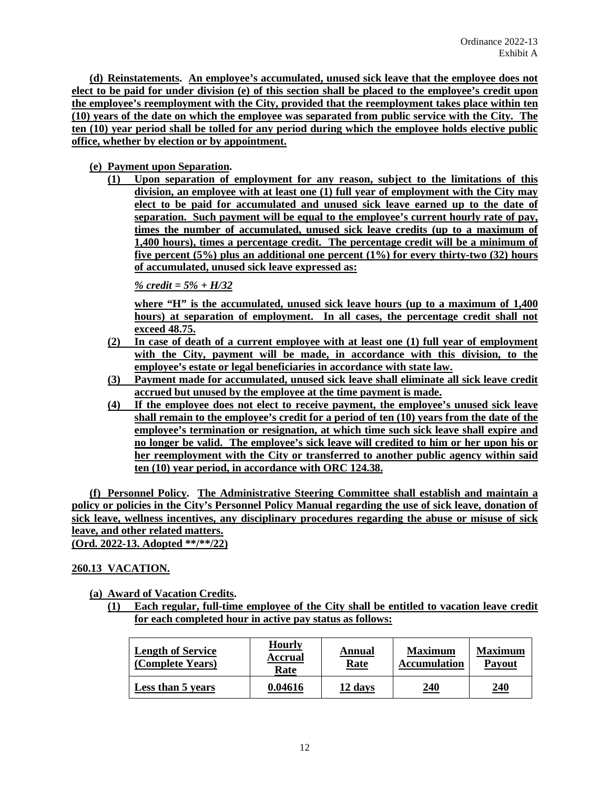**(d) Reinstatements. An employee's accumulated, unused sick leave that the employee does not elect to be paid for under division (e) of this section shall be placed to the employee's credit upon the employee's reemployment with the City, provided that the reemployment takes place within ten (10) years of the date on which the employee was separated from public service with the City. The ten (10) year period shall be tolled for any period during which the employee holds elective public office, whether by election or by appointment.**

### **(e) Payment upon Separation.**

**(1) Upon separation of employment for any reason, subject to the limitations of this division, an employee with at least one (1) full year of employment with the City may elect to be paid for accumulated and unused sick leave earned up to the date of separation. Such payment will be equal to the employee's current hourly rate of pay, times the number of accumulated, unused sick leave credits (up to a maximum of 1,400 hours), times a percentage credit. The percentage credit will be a minimum of five percent (5%) plus an additional one percent (1%) for every thirty-two (32) hours of accumulated, unused sick leave expressed as:** 

*% credit = 5% + H/32*

**where "H" is the accumulated, unused sick leave hours (up to a maximum of 1,400 hours) at separation of employment. In all cases, the percentage credit shall not exceed 48.75.**

- **(2) In case of death of a current employee with at least one (1) full year of employment with the City, payment will be made, in accordance with this division, to the employee's estate or legal beneficiaries in accordance with state law.**
- **(3) Payment made for accumulated, unused sick leave shall eliminate all sick leave credit accrued but unused by the employee at the time payment is made.**
- **(4) If the employee does not elect to receive payment, the employee's unused sick leave shall remain to the employee's credit for a period of ten (10) years from the date of the employee's termination or resignation, at which time such sick leave shall expire and no longer be valid. The employee's sick leave will credited to him or her upon his or her reemployment with the City or transferred to another public agency within said ten (10) year period, in accordance with ORC 124.38.**

**(f) Personnel Policy. The Administrative Steering Committee shall establish and maintain a policy or policies in the City's Personnel Policy Manual regarding the use of sick leave, donation of sick leave, wellness incentives, any disciplinary procedures regarding the abuse or misuse of sick leave, and other related matters. (Ord. 2022-13. Adopted \*\*/\*\*/22)**

### **260.13 VACATION.**

**(a) Award of Vacation Credits.** 

**(1) Each regular, full-time employee of the City shall be entitled to vacation leave credit for each completed hour in active pay status as follows:** 

| <b>Length of Service</b><br>(Complete Years) | <b>Hourly</b><br><b>Accrual</b><br>Rate | Annual<br>Rate | <b>Maximum</b><br><b>Accumulation</b> | <b>Maximum</b><br><b>Payout</b> |
|----------------------------------------------|-----------------------------------------|----------------|---------------------------------------|---------------------------------|
| Less than 5 years                            | 0.04616                                 | 12 days        | <u>240</u>                            | 240                             |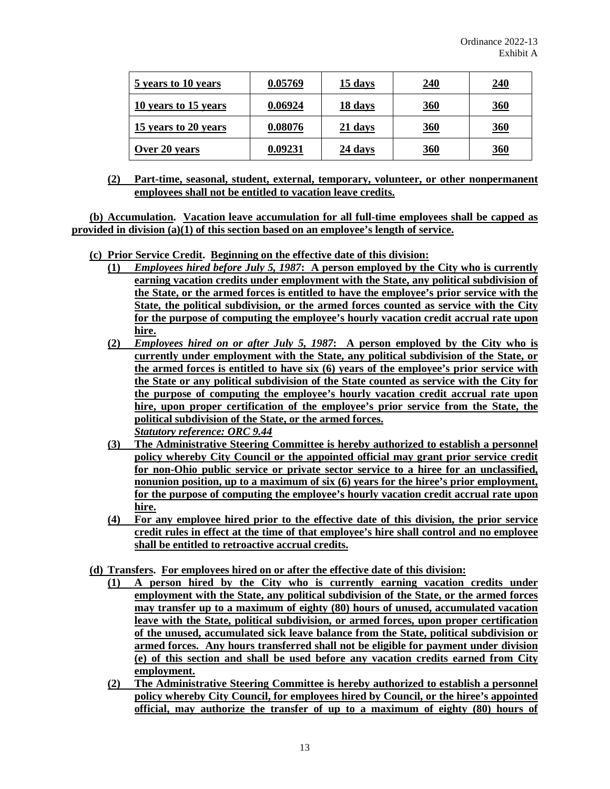| 5 years to 10 years  | 0.05769 | 15 days | 240        | 240        |
|----------------------|---------|---------|------------|------------|
| 10 years to 15 years | 0.06924 | 18 days | <u>360</u> | <u>360</u> |
| 15 years to 20 years | 0.08076 | 21 days | 360        | 360        |
| Over 20 years        | 0.09231 | 24 days | <u>360</u> | <u>360</u> |

**(2) Part-time, seasonal, student, external, temporary, volunteer, or other nonpermanent employees shall not be entitled to vacation leave credits.**

**(b) Accumulation. Vacation leave accumulation for all full-time employees shall be capped as provided in division (a)(1) of this section based on an employee's length of service.**

- **(c) Prior Service Credit. Beginning on the effective date of this division:**
	- **(1)** *Employees hired before July 5, 1987***: A person employed by the City who is currently earning vacation credits under employment with the State, any political subdivision of the State, or the armed forces is entitled to have the employee's prior service with the State, the political subdivision, or the armed forces counted as service with the City for the purpose of computing the employee's hourly vacation credit accrual rate upon hire.**
	- **(2)** *Employees hired on or after July 5, 1987***: A person employed by the City who is currently under employment with the State, any political subdivision of the State, or the armed forces is entitled to have six (6) years of the employee's prior service with the State or any political subdivision of the State counted as service with the City for the purpose of computing the employee's hourly vacation credit accrual rate upon hire, upon proper certification of the employee's prior service from the State, the political subdivision of the State, or the armed forces.** *Statutory reference: ORC 9.44*
	- **(3) The Administrative Steering Committee is hereby authorized to establish a personnel policy whereby City Council or the appointed official may grant prior service credit for non-Ohio public service or private sector service to a hiree for an unclassified, nonunion position, up to a maximum of six (6) years for the hiree's prior employment, for the purpose of computing the employee's hourly vacation credit accrual rate upon hire.**
	- **(4) For any employee hired prior to the effective date of this division, the prior service credit rules in effect at the time of that employee's hire shall control and no employee shall be entitled to retroactive accrual credits.**
- **(d) Transfers. For employees hired on or after the effective date of this division:**
	- **(1) A person hired by the City who is currently earning vacation credits under employment with the State, any political subdivision of the State, or the armed forces may transfer up to a maximum of eighty (80) hours of unused, accumulated vacation leave with the State, political subdivision, or armed forces, upon proper certification of the unused, accumulated sick leave balance from the State, political subdivision or armed forces. Any hours transferred shall not be eligible for payment under division (e) of this section and shall be used before any vacation credits earned from City employment.**
	- **(2) The Administrative Steering Committee is hereby authorized to establish a personnel policy whereby City Council, for employees hired by Council, or the hiree's appointed official, may authorize the transfer of up to a maximum of eighty (80) hours of**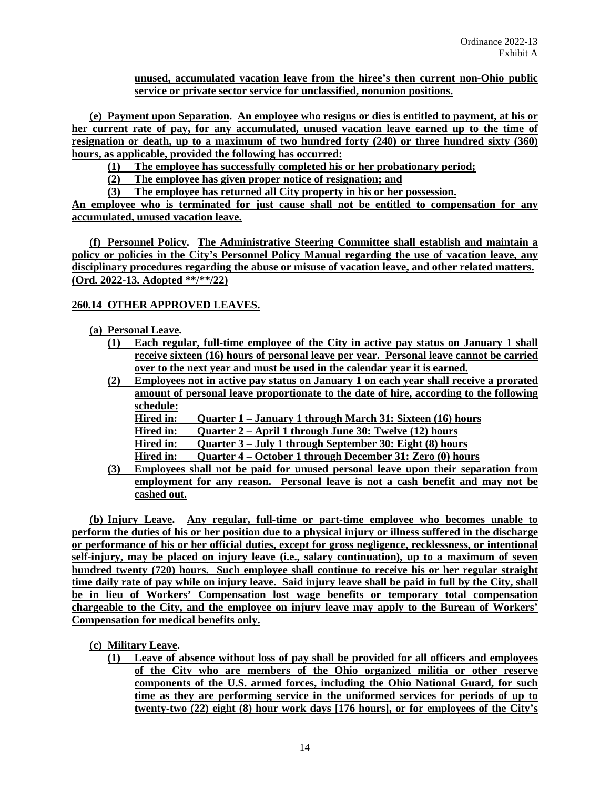**unused, accumulated vacation leave from the hiree's then current non-Ohio public service or private sector service for unclassified, nonunion positions.**

**(e) Payment upon Separation. An employee who resigns or dies is entitled to payment, at his or her current rate of pay, for any accumulated, unused vacation leave earned up to the time of resignation or death, up to a maximum of two hundred forty (240) or three hundred sixty (360) hours, as applicable, provided the following has occurred:**

**(1) The employee has successfully completed his or her probationary period;**

**(2) The employee has given proper notice of resignation; and**

**(3) The employee has returned all City property in his or her possession.**

**An employee who is terminated for just cause shall not be entitled to compensation for any accumulated, unused vacation leave.**

**(f) Personnel Policy. The Administrative Steering Committee shall establish and maintain a policy or policies in the City's Personnel Policy Manual regarding the use of vacation leave, any disciplinary procedures regarding the abuse or misuse of vacation leave, and other related matters. (Ord. 2022-13. Adopted \*\*/\*\*/22)**

### **260.14 OTHER APPROVED LEAVES.**

### **(a) Personal Leave.**

- **(1) Each regular, full-time employee of the City in active pay status on January 1 shall receive sixteen (16) hours of personal leave per year. Personal leave cannot be carried over to the next year and must be used in the calendar year it is earned.**
- **(2) Employees not in active pay status on January 1 on each year shall receive a prorated amount of personal leave proportionate to the date of hire, according to the following schedule:**

**Hired in: Quarter 1 – January 1 through March 31: Sixteen (16) hours**

**Hired in: Quarter 2 – April 1 through June 30: Twelve (12) hours**

**Hired in: Quarter 3 – July 1 through September 30: Eight (8) hours**

- **Hired in: Quarter 4 – October 1 through December 31: Zero (0) hours**
- **(3) Employees shall not be paid for unused personal leave upon their separation from employment for any reason. Personal leave is not a cash benefit and may not be cashed out.**

**(b) Injury Leave. Any regular, full-time or part-time employee who becomes unable to perform the duties of his or her position due to a physical injury or illness suffered in the discharge or performance of his or her official duties, except for gross negligence, recklessness, or intentional self-injury, may be placed on injury leave (i.e., salary continuation), up to a maximum of seven hundred twenty (720) hours. Such employee shall continue to receive his or her regular straight time daily rate of pay while on injury leave. Said injury leave shall be paid in full by the City, shall be in lieu of Workers' Compensation lost wage benefits or temporary total compensation chargeable to the City, and the employee on injury leave may apply to the Bureau of Workers' Compensation for medical benefits only.**

### **(c) Military Leave.**

**(1) Leave of absence without loss of pay shall be provided for all officers and employees of the City who are members of the Ohio organized militia or other reserve components of the U.S. armed forces, including the Ohio National Guard, for such time as they are performing service in the uniformed services for periods of up to twenty-two (22) eight (8) hour work days [176 hours], or for employees of the City's**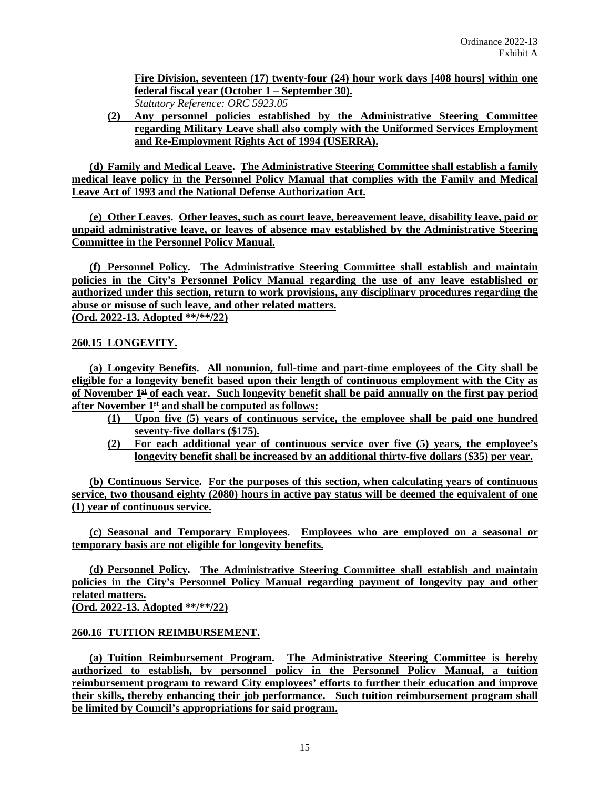**Fire Division, seventeen (17) twenty-four (24) hour work days [408 hours] within one federal fiscal year (October 1 – September 30).** *Statutory Reference: ORC 5923.05*

**(2) Any personnel policies established by the Administrative Steering Committee regarding Military Leave shall also comply with the Uniformed Services Employment and Re-Employment Rights Act of 1994 (USERRA).**

**(d) Family and Medical Leave. The Administrative Steering Committee shall establish a family medical leave policy in the Personnel Policy Manual that complies with the Family and Medical Leave Act of 1993 and the National Defense Authorization Act.**

**(e) Other Leaves. Other leaves, such as court leave, bereavement leave, disability leave, paid or unpaid administrative leave, or leaves of absence may established by the Administrative Steering Committee in the Personnel Policy Manual.**

**(f) Personnel Policy. The Administrative Steering Committee shall establish and maintain policies in the City's Personnel Policy Manual regarding the use of any leave established or authorized under this section, return to work provisions, any disciplinary procedures regarding the abuse or misuse of such leave, and other related matters. (Ord. 2022-13. Adopted \*\*/\*\*/22)**

**260.15 LONGEVITY.**

**(a) Longevity Benefits. All nonunion, full-time and part-time employees of the City shall be eligible for a longevity benefit based upon their length of continuous employment with the City as of November 1st of each year. Such longevity benefit shall be paid annually on the first pay period after November 1st and shall be computed as follows:**

- **(1) Upon five (5) years of continuous service, the employee shall be paid one hundred seventy-five dollars (\$175).**
- **(2) For each additional year of continuous service over five (5) years, the employee's longevity benefit shall be increased by an additional thirty-five dollars (\$35) per year.**

**(b) Continuous Service. For the purposes of this section, when calculating years of continuous service, two thousand eighty (2080) hours in active pay status will be deemed the equivalent of one (1) year of continuous service.**

**(c) Seasonal and Temporary Employees. Employees who are employed on a seasonal or temporary basis are not eligible for longevity benefits.**

**(d) Personnel Policy. The Administrative Steering Committee shall establish and maintain policies in the City's Personnel Policy Manual regarding payment of longevity pay and other related matters.**

**(Ord. 2022-13. Adopted \*\*/\*\*/22)**

### **260.16 TUITION REIMBURSEMENT.**

**(a) Tuition Reimbursement Program. The Administrative Steering Committee is hereby authorized to establish, by personnel policy in the Personnel Policy Manual, a tuition reimbursement program to reward City employees' efforts to further their education and improve their skills, thereby enhancing their job performance. Such tuition reimbursement program shall be limited by Council's appropriations for said program.**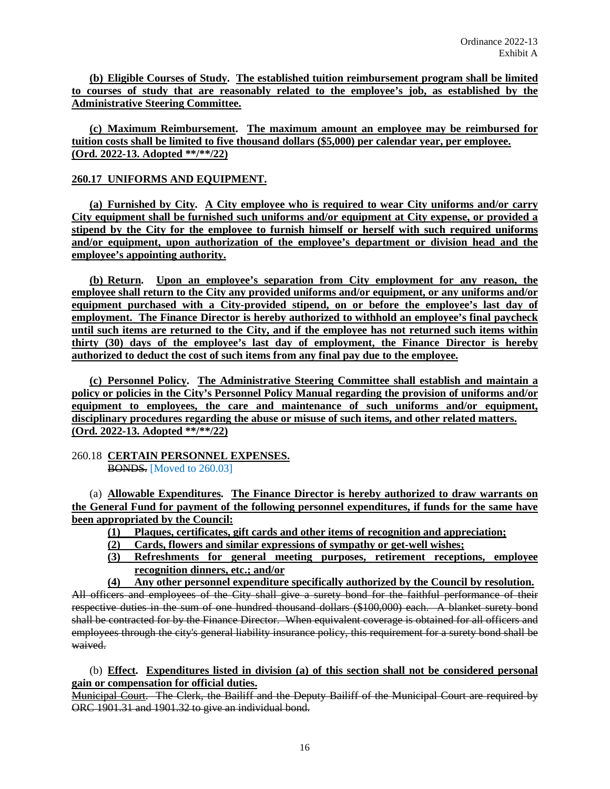**(b) Eligible Courses of Study. The established tuition reimbursement program shall be limited to courses of study that are reasonably related to the employee's job, as established by the Administrative Steering Committee.** 

**(c) Maximum Reimbursement. The maximum amount an employee may be reimbursed for tuition costs shall be limited to five thousand dollars (\$5,000) per calendar year, per employee. (Ord. 2022-13. Adopted \*\*/\*\*/22)**

### **260.17 UNIFORMS AND EQUIPMENT.**

**(a) Furnished by City. A City employee who is required to wear City uniforms and/or carry City equipment shall be furnished such uniforms and/or equipment at City expense, or provided a stipend by the City for the employee to furnish himself or herself with such required uniforms and/or equipment, upon authorization of the employee's department or division head and the employee's appointing authority.**

**(b) Return. Upon an employee's separation from City employment for any reason, the employee shall return to the City any provided uniforms and/or equipment, or any uniforms and/or equipment purchased with a City-provided stipend, on or before the employee's last day of employment. The Finance Director is hereby authorized to withhold an employee's final paycheck until such items are returned to the City, and if the employee has not returned such items within thirty (30) days of the employee's last day of employment, the Finance Director is hereby authorized to deduct the cost of such items from any final pay due to the employee.** 

**(c) Personnel Policy. The Administrative Steering Committee shall establish and maintain a policy or policies in the City's Personnel Policy Manual regarding the provision of uniforms and/or equipment to employees, the care and maintenance of such uniforms and/or equipment, disciplinary procedures regarding the abuse or misuse of such items, and other related matters. (Ord. 2022-13. Adopted \*\*/\*\*/22)**

#### 260.18 **CERTAIN PERSONNEL EXPENSES.** BONDS. [Moved to 260.03]

(a) **Allowable Expenditures. The Finance Director is hereby authorized to draw warrants on the General Fund for payment of the following personnel expenditures, if funds for the same have been appropriated by the Council:**

- **(1) Plaques, certificates, gift cards and other items of recognition and appreciation;**
- **(2) Cards, flowers and similar expressions of sympathy or get-well wishes;**
- **(3) Refreshments for general meeting purposes, retirement receptions, employee recognition dinners, etc.; and/or**
- **(4) Any other personnel expenditure specifically authorized by the Council by resolution.**

All officers and employees of the City shall give a surety bond for the faithful performance of their respective duties in the sum of one hundred thousand dollars (\$100,000) each. A blanket surety bond shall be contracted for by the Finance Director. When equivalent coverage is obtained for all officers and employees through the city's general liability insurance policy, this requirement for a surety bond shall be waived.

### (b) **Effect. Expenditures listed in division (a) of this section shall not be considered personal gain or compensation for official duties.**

Municipal Court. The Clerk, the Bailiff and the Deputy Bailiff of the Municipal Court are required by ORC 1901.31 and 1901.32 to give an individual bond.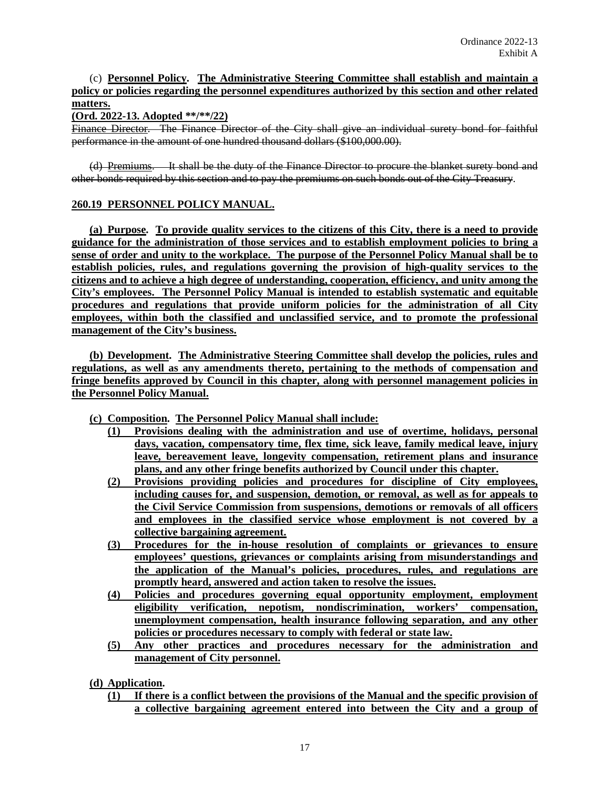# (c) **Personnel Policy. The Administrative Steering Committee shall establish and maintain a policy or policies regarding the personnel expenditures authorized by this section and other related matters.**

#### **(Ord. 2022-13. Adopted \*\*/\*\*/22)**

Finance Director. The Finance Director of the City shall give an individual surety bond for faithful performance in the amount of one hundred thousand dollars (\$100,000.00).

(d) Premiums. It shall be the duty of the Finance Director to procure the blanket surety bond and other bonds required by this section and to pay the premiums on such bonds out of the City Treasury.

### **260.19 PERSONNEL POLICY MANUAL.**

**(a) Purpose. To provide quality services to the citizens of this City, there is a need to provide guidance for the administration of those services and to establish employment policies to bring a sense of order and unity to the workplace. The purpose of the Personnel Policy Manual shall be to establish policies, rules, and regulations governing the provision of high-quality services to the citizens and to achieve a high degree of understanding, cooperation, efficiency, and unity among the City's employees. The Personnel Policy Manual is intended to establish systematic and equitable procedures and regulations that provide uniform policies for the administration of all City employees, within both the classified and unclassified service, and to promote the professional management of the City's business.**

**(b) Development. The Administrative Steering Committee shall develop the policies, rules and regulations, as well as any amendments thereto, pertaining to the methods of compensation and fringe benefits approved by Council in this chapter, along with personnel management policies in the Personnel Policy Manual.** 

- **(c) Composition. The Personnel Policy Manual shall include:**
	- **(1) Provisions dealing with the administration and use of overtime, holidays, personal days, vacation, compensatory time, flex time, sick leave, family medical leave, injury leave, bereavement leave, longevity compensation, retirement plans and insurance plans, and any other fringe benefits authorized by Council under this chapter.**
	- **(2) Provisions providing policies and procedures for discipline of City employees, including causes for, and suspension, demotion, or removal, as well as for appeals to the Civil Service Commission from suspensions, demotions or removals of all officers and employees in the classified service whose employment is not covered by a collective bargaining agreement.**
	- **(3) Procedures for the in-house resolution of complaints or grievances to ensure employees' questions, grievances or complaints arising from misunderstandings and the application of the Manual's policies, procedures, rules, and regulations are promptly heard, answered and action taken to resolve the issues.**
	- **(4) Policies and procedures governing equal opportunity employment, employment eligibility verification, nepotism, nondiscrimination, workers' compensation, unemployment compensation, health insurance following separation, and any other policies or procedures necessary to comply with federal or state law.**
	- **(5) Any other practices and procedures necessary for the administration and management of City personnel.**

**(d) Application.** 

**(1) If there is a conflict between the provisions of the Manual and the specific provision of a collective bargaining agreement entered into between the City and a group of**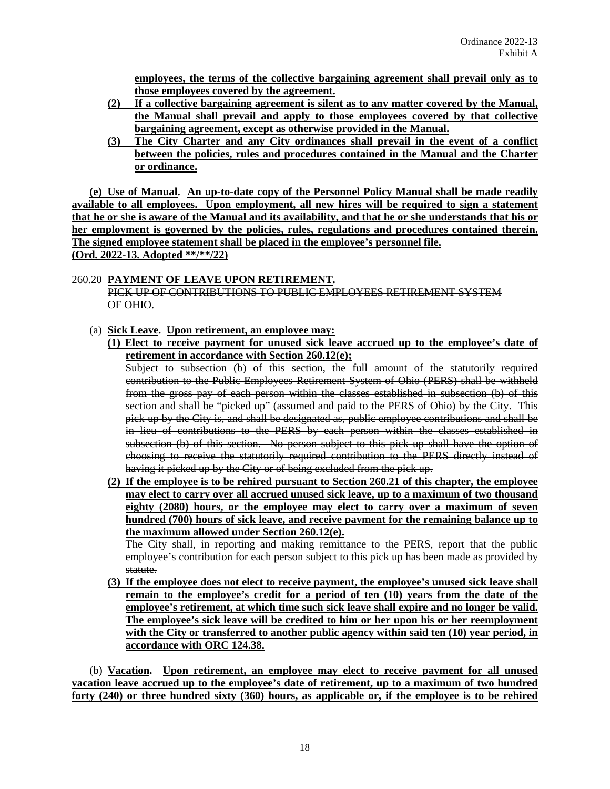**employees, the terms of the collective bargaining agreement shall prevail only as to those employees covered by the agreement.**

- **(2) If a collective bargaining agreement is silent as to any matter covered by the Manual, the Manual shall prevail and apply to those employees covered by that collective bargaining agreement, except as otherwise provided in the Manual.**
- **(3) The City Charter and any City ordinances shall prevail in the event of a conflict between the policies, rules and procedures contained in the Manual and the Charter or ordinance.**

**(e) Use of Manual. An up-to-date copy of the Personnel Policy Manual shall be made readily available to all employees. Upon employment, all new hires will be required to sign a statement that he or she is aware of the Manual and its availability, and that he or she understands that his or her employment is governed by the policies, rules, regulations and procedures contained therein. The signed employee statement shall be placed in the employee's personnel file. (Ord. 2022-13. Adopted \*\*/\*\*/22)**

#### 260.20 **PAYMENT OF LEAVE UPON RETIREMENT.** PICK UP OF CONTRIBUTIONS TO PUBLIC EMPLOYEES RETIREMENT SYSTEM OF OHIO.

- (a) **Sick Leave. Upon retirement, an employee may:**
	- **(1) Elect to receive payment for unused sick leave accrued up to the employee's date of retirement in accordance with Section 260.12(e);**

Subject to subsection (b) of this section, the full amount of the statutorily required contribution to the Public Employees Retirement System of Ohio (PERS) shall be withheld from the gross pay of each person within the classes established in subsection (b) of this section and shall be "picked up" (assumed and paid to the PERS of Ohio) by the City. This pick-up by the City is, and shall be designated as, public employee contributions and shall be in lieu of contributions to the PERS by each person within the classes established in subsection (b) of this section. No person subject to this pick up shall have the option of choosing to receive the statutorily required contribution to the PERS directly instead of having it picked up by the City or of being excluded from the pick up.

**(2) If the employee is to be rehired pursuant to Section 260.21 of this chapter, the employee may elect to carry over all accrued unused sick leave, up to a maximum of two thousand eighty (2080) hours, or the employee may elect to carry over a maximum of seven hundred (700) hours of sick leave, and receive payment for the remaining balance up to the maximum allowed under Section 260.12(e).**

The City shall, in reporting and making remittance to the PERS, report that the public employee's contribution for each person subject to this pick up has been made as provided by statute.

**(3) If the employee does not elect to receive payment, the employee's unused sick leave shall remain to the employee's credit for a period of ten (10) years from the date of the employee's retirement, at which time such sick leave shall expire and no longer be valid. The employee's sick leave will be credited to him or her upon his or her reemployment with the City or transferred to another public agency within said ten (10) year period, in accordance with ORC 124.38.**

(b) **Vacation. Upon retirement, an employee may elect to receive payment for all unused vacation leave accrued up to the employee's date of retirement, up to a maximum of two hundred forty (240) or three hundred sixty (360) hours, as applicable or, if the employee is to be rehired**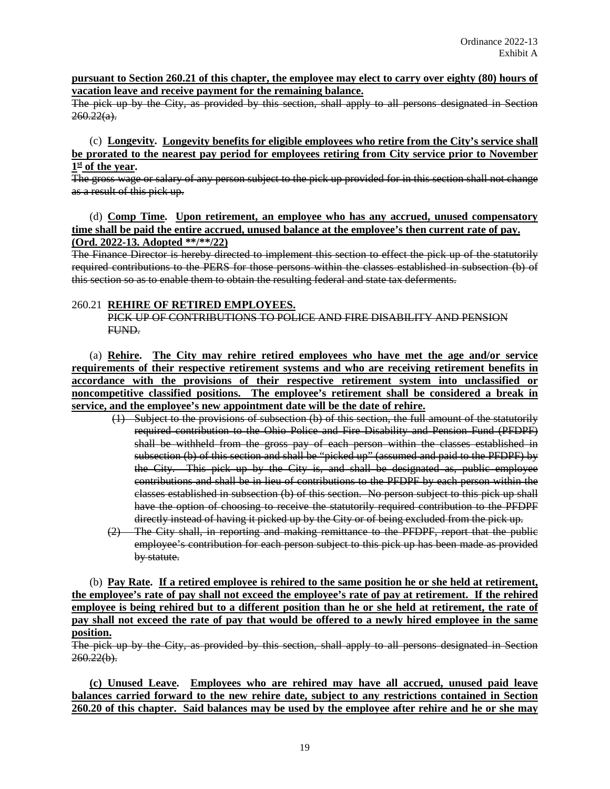#### **pursuant to Section 260.21 of this chapter, the employee may elect to carry over eighty (80) hours of vacation leave and receive payment for the remaining balance.**

The pick up by the City, as provided by this section, shall apply to all persons designated in Section  $260.22(a)$ .

(c) **Longevity. Longevity benefits for eligible employees who retire from the City's service shall be prorated to the nearest pay period for employees retiring from City service prior to November 1st of the year.** 

The gross wage or salary of any person subject to the pick up provided for in this section shall not change as a result of this pick up.

### (d) **Comp Time. Upon retirement, an employee who has any accrued, unused compensatory time shall be paid the entire accrued, unused balance at the employee's then current rate of pay. (Ord. 2022-13. Adopted \*\*/\*\*/22)**

The Finance Director is hereby directed to implement this section to effect the pick up of the statutorily required contributions to the PERS for those persons within the classes established in subsection (b) of this section so as to enable them to obtain the resulting federal and state tax deferments.

### 260.21 **REHIRE OF RETIRED EMPLOYEES.**

PICK UP OF CONTRIBUTIONS TO POLICE AND FIRE DISABILITY AND PENSION FUND.

(a) **Rehire. The City may rehire retired employees who have met the age and/or service requirements of their respective retirement systems and who are receiving retirement benefits in accordance with the provisions of their respective retirement system into unclassified or noncompetitive classified positions. The employee's retirement shall be considered a break in service, and the employee's new appointment date will be the date of rehire.**

- (1) Subject to the provisions of subsection (b) of this section, the full amount of the statutorily required contribution to the Ohio Police and Fire Disability and Pension Fund (PFDPF) shall be withheld from the gross pay of each person within the classes established in subsection (b) of this section and shall be "picked up" (assumed and paid to the PFDPF) by the City. This pick up by the City is, and shall be designated as, public employee contributions and shall be in lieu of contributions to the PFDPF by each person within the classes established in subsection (b) of this section. No person subject to this pick up shall have the option of choosing to receive the statutorily required contribution to the PFDPF directly instead of having it picked up by the City or of being excluded from the pick up.
- (2) The City shall, in reporting and making remittance to the PFDPF, report that the public employee's contribution for each person subject to this pick up has been made as provided by statute.

(b) **Pay Rate. If a retired employee is rehired to the same position he or she held at retirement, the employee's rate of pay shall not exceed the employee's rate of pay at retirement. If the rehired employee is being rehired but to a different position than he or she held at retirement, the rate of pay shall not exceed the rate of pay that would be offered to a newly hired employee in the same position.**

The pick up by the City, as provided by this section, shall apply to all persons designated in Section  $260.22(b)$ .

**(c) Unused Leave. Employees who are rehired may have all accrued, unused paid leave balances carried forward to the new rehire date, subject to any restrictions contained in Section 260.20 of this chapter. Said balances may be used by the employee after rehire and he or she may**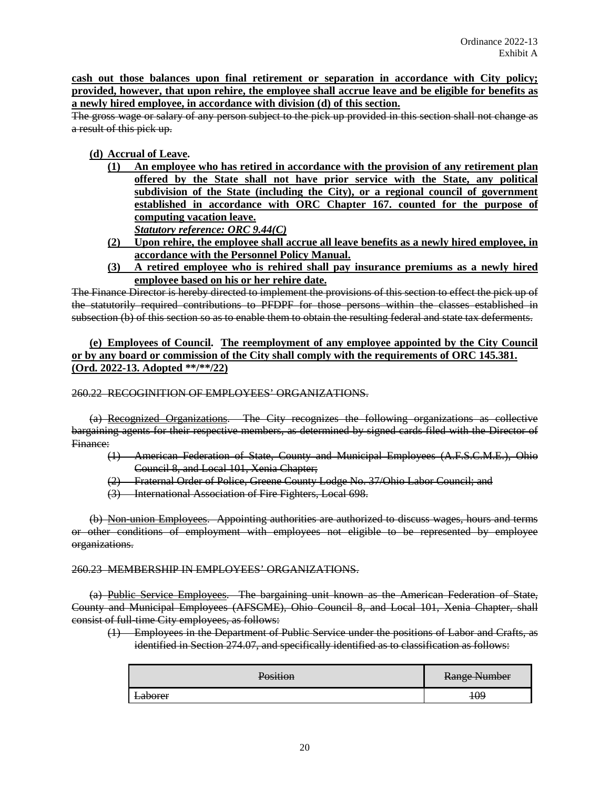**cash out those balances upon final retirement or separation in accordance with City policy; provided, however, that upon rehire, the employee shall accrue leave and be eligible for benefits as a newly hired employee, in accordance with division (d) of this section.**

The gross wage or salary of any person subject to the pick up provided in this section shall not change as a result of this pick up.

# **(d) Accrual of Leave.**

- **(1) An employee who has retired in accordance with the provision of any retirement plan offered by the State shall not have prior service with the State, any political subdivision of the State (including the City), or a regional council of government established in accordance with ORC Chapter 167. counted for the purpose of computing vacation leave.**  *Statutory reference: ORC 9.44(C)*
- **(2) Upon rehire, the employee shall accrue all leave benefits as a newly hired employee, in accordance with the Personnel Policy Manual.**
- **(3) A retired employee who is rehired shall pay insurance premiums as a newly hired employee based on his or her rehire date.**

The Finance Director is hereby directed to implement the provisions of this section to effect the pick up of the statutorily required contributions to PFDPF for those persons within the classes established in subsection (b) of this section so as to enable them to obtain the resulting federal and state tax deferments.

**(e) Employees of Council. The reemployment of any employee appointed by the City Council or by any board or commission of the City shall comply with the requirements of ORC 145.381. (Ord. 2022-13. Adopted \*\*/\*\*/22)**

260.22 RECOGINITION OF EMPLOYEES' ORGANIZATIONS.

(a) Recognized Organizations. The City recognizes the following organizations as collective bargaining agents for their respective members, as determined by signed cards filed with the Director of Finance:

- (1) American Federation of State, County and Municipal Employees (A.F.S.C.M.E.), Ohio Council 8, and Local 101, Xenia Chapter;
- (2) Fraternal Order of Police, Greene County Lodge No. 37/Ohio Labor Council; and
- (3) International Association of Fire Fighters, Local 698.

(b) Non-union Employees. Appointing authorities are authorized to discuss wages, hours and terms or other conditions of employment with employees not eligible to be represented by employee organizations.

#### 260.23 MEMBERSHIP IN EMPLOYEES' ORGANIZATIONS.

(a) Public Service Employees. The bargaining unit known as the American Federation of State, County and Municipal Employees (AFSCME), Ohio Council 8, and Local 101, Xenia Chapter, shall consist of full-time City employees, as follows:

(1) Employees in the Department of Public Service under the positions of Labor and Crafts, as identified in Section 274.07, and specifically identified as to classification as follows:

| Position       | <b>Range Number</b> |
|----------------|---------------------|
| <b>Laborer</b> | <del>109</del>      |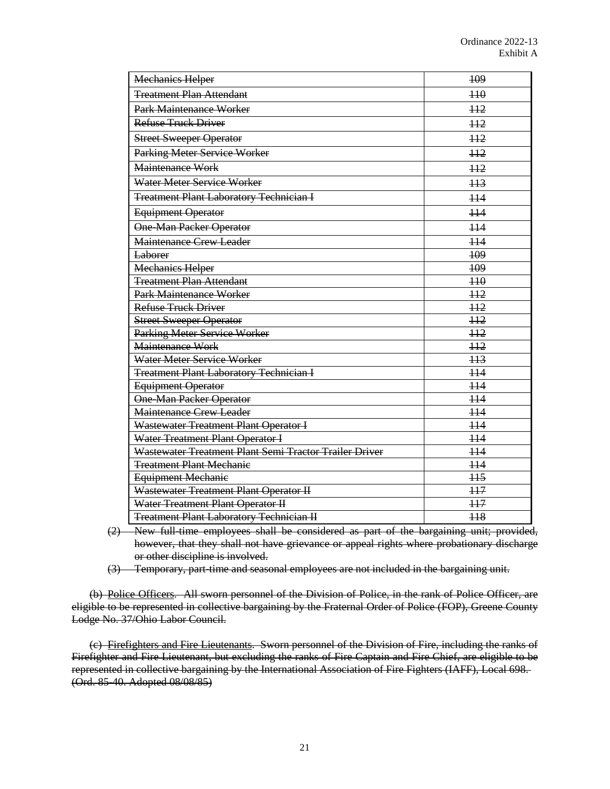| <b>Mechanics Helper</b>                                | 109            |
|--------------------------------------------------------|----------------|
| <b>Treatment Plan Attendant</b>                        | $+10$          |
| Park Maintenance Worker                                | H <sub>2</sub> |
| <b>Refuse Truck Driver</b>                             | 112            |
| <b>Street Sweeper Operator</b>                         | H2             |
| Parking Meter Service Worker                           | H2             |
| Maintenance Work                                       | H2             |
| Water Meter Service Worker                             | 113            |
| <b>Treatment Plant Laboratory Technician I</b>         | H <sub>4</sub> |
| <b>Equipment Operator</b>                              | H <sub>4</sub> |
| <b>One-Man Packer Operator</b>                         | H <sub>4</sub> |
| <b>Maintenance Crew Leader</b>                         | H <sub>4</sub> |
| <b>Laborer</b>                                         | 109            |
| <b>Mechanics Helper</b>                                | 109            |
| <b>Treatment Plan Attendant</b>                        | H <sub>0</sub> |
| <b>Park Maintenance Worker</b>                         | H <sub>2</sub> |
| <b>Refuse Truck Driver</b>                             | H2             |
| <b>Street Sweeper Operator</b>                         | H2             |
| Parking Meter Service Worker                           | H2             |
| Maintenance Work                                       | H2             |
| Water Meter Service Worker                             | H <sub>3</sub> |
| <b>Treatment Plant Laboratory Technician I</b>         | H <sub>4</sub> |
| Equipment Operator                                     | H <sub>4</sub> |
| <b>One-Man Packer Operator</b>                         | H <sub>4</sub> |
| <b>Maintenance Crew Leader</b>                         | $+14$          |
| Wastewater Treatment Plant Operator I                  | H <sub>4</sub> |
| Water Treatment Plant Operator I                       | 114            |
| Wastewater Treatment Plant Semi Tractor Trailer Driver | $+14$          |
| <b>Treatment Plant Mechanie</b>                        | $+14$          |
| <b>Equipment Mechanie</b>                              | H <sub>5</sub> |
| Wastewater Treatment Plant Operator II                 | H7             |
| Water Treatment Plant Operator II                      | 117            |
| <b>Treatment Plant Laboratory Technician II</b>        | H <sub>8</sub> |

(2) New full-time employees shall be considered as part of the bargaining unit; provided, however, that they shall not have grievance or appeal rights where probationary discharge or other discipline is involved.

(3) Temporary, part-time and seasonal employees are not included in the bargaining unit.

(b) Police Officers. All sworn personnel of the Division of Police, in the rank of Police Officer, are eligible to be represented in collective bargaining by the Fraternal Order of Police (FOP), Greene County Lodge No. 37/Ohio Labor Council.

(c) Firefighters and Fire Lieutenants. Sworn personnel of the Division of Fire, including the ranks of Firefighter and Fire Lieutenant, but excluding the ranks of Fire Captain and Fire Chief, are eligible to be represented in collective bargaining by the International Association of Fire Fighters (IAFF), Local 698. (Ord. 85-40. Adopted 08/08/85)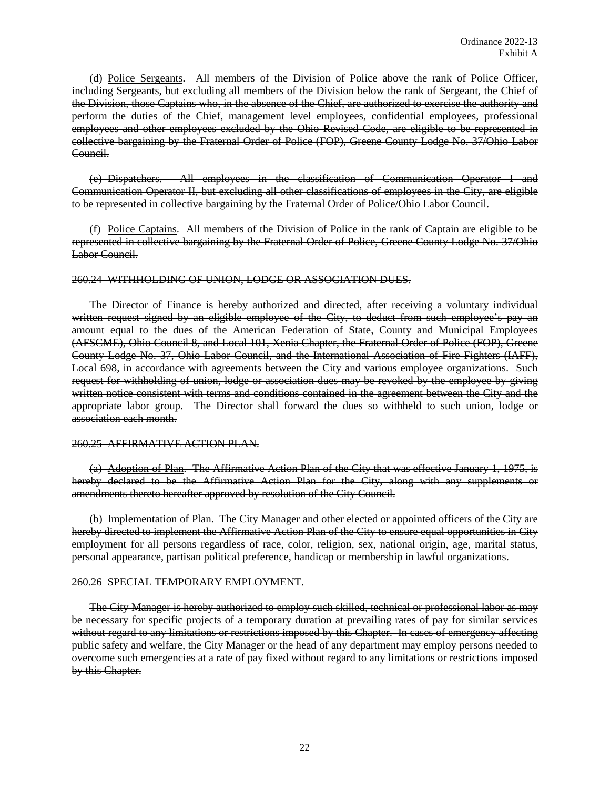(d) Police Sergeants. All members of the Division of Police above the rank of Police Officer, including Sergeants, but excluding all members of the Division below the rank of Sergeant, the Chief of the Division, those Captains who, in the absence of the Chief, are authorized to exercise the authority and perform the duties of the Chief, management level employees, confidential employees, professional employees and other employees excluded by the Ohio Revised Code, are eligible to be represented in collective bargaining by the Fraternal Order of Police (FOP), Greene County Lodge No. 37/Ohio Labor Council.

(e) Dispatchers. All employees in the classification of Communication Operator I and Communication Operator II, but excluding all other classifications of employees in the City, are eligible to be represented in collective bargaining by the Fraternal Order of Police/Ohio Labor Council.

(f) Police Captains. All members of the Division of Police in the rank of Captain are eligible to be represented in collective bargaining by the Fraternal Order of Police, Greene County Lodge No. 37/Ohio Labor Council.

#### 260.24 WITHHOLDING OF UNION, LODGE OR ASSOCIATION DUES.

The Director of Finance is hereby authorized and directed, after receiving a voluntary individual written request signed by an eligible employee of the City, to deduct from such employee's pay an amount equal to the dues of the American Federation of State, County and Municipal Employees (AFSCME), Ohio Council 8, and Local 101, Xenia Chapter, the Fraternal Order of Police (FOP), Greene County Lodge No. 37, Ohio Labor Council, and the International Association of Fire Fighters (IAFF), Local 698, in accordance with agreements between the City and various employee organizations. Such request for withholding of union, lodge or association dues may be revoked by the employee by giving written notice consistent with terms and conditions contained in the agreement between the City and the appropriate labor group. The Director shall forward the dues so withheld to such union, lodge or association each month.

#### 260.25 AFFIRMATIVE ACTION PLAN.

(a) Adoption of Plan. The Affirmative Action Plan of the City that was effective January 1, 1975, is hereby declared to be the Affirmative Action Plan for the City, along with any supplements or amendments thereto hereafter approved by resolution of the City Council.

(b) Implementation of Plan. The City Manager and other elected or appointed officers of the City are hereby directed to implement the Affirmative Action Plan of the City to ensure equal opportunities in City employment for all persons regardless of race, color, religion, sex, national origin, age, marital status, personal appearance, partisan political preference, handicap or membership in lawful organizations.

#### 260.26 SPECIAL TEMPORARY EMPLOYMENT.

The City Manager is hereby authorized to employ such skilled, technical or professional labor as may be necessary for specific projects of a temporary duration at prevailing rates of pay for similar services without regard to any limitations or restrictions imposed by this Chapter. In cases of emergency affecting public safety and welfare, the City Manager or the head of any department may employ persons needed to overcome such emergencies at a rate of pay fixed without regard to any limitations or restrictions imposed by this Chapter.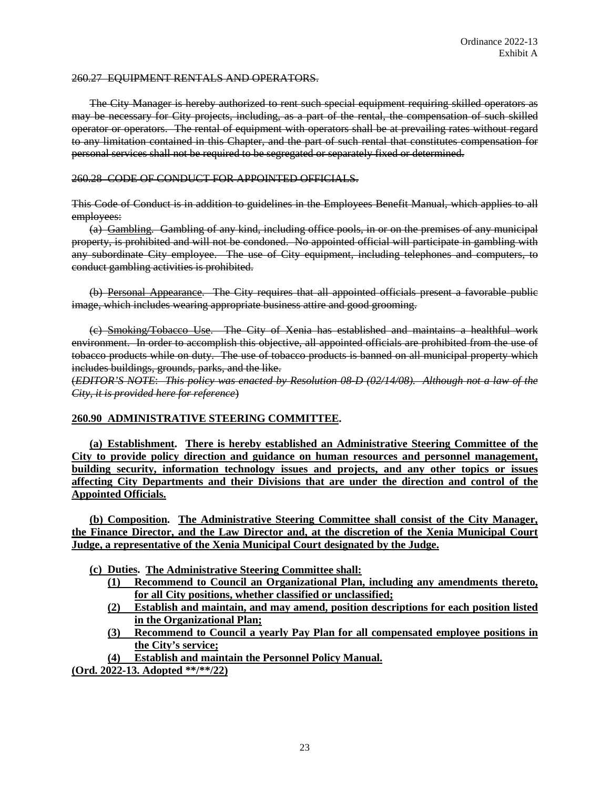#### 260.27 EQUIPMENT RENTALS AND OPERATORS.

The City Manager is hereby authorized to rent such special equipment requiring skilled operators as may be necessary for City projects, including, as a part of the rental, the compensation of such skilled operator or operators. The rental of equipment with operators shall be at prevailing rates without regard to any limitation contained in this Chapter, and the part of such rental that constitutes compensation for personal services shall not be required to be segregated or separately fixed or determined.

#### 260.28 CODE OF CONDUCT FOR APPOINTED OFFICIALS.

This Code of Conduct is in addition to guidelines in the Employees Benefit Manual, which applies to all employees:

(a) Gambling. Gambling of any kind, including office pools, in or on the premises of any municipal property, is prohibited and will not be condoned. No appointed official will participate in gambling with any subordinate City employee. The use of City equipment, including telephones and computers, to conduct gambling activities is prohibited.

(b) Personal Appearance. The City requires that all appointed officials present a favorable public image, which includes wearing appropriate business attire and good grooming.

(c) Smoking/Tobacco Use. The City of Xenia has established and maintains a healthful work environment. In order to accomplish this objective, all appointed officials are prohibited from the use of tobacco products while on duty. The use of tobacco products is banned on all municipal property which includes buildings, grounds, parks, and the like.

(*EDITOR'S NOTE*: *This policy was enacted by Resolution 08-D (02/14/08). Although not a law of the City, it is provided here for reference*)

#### **260.90 ADMINISTRATIVE STEERING COMMITTEE.**

**(a) Establishment. There is hereby established an Administrative Steering Committee of the City to provide policy direction and guidance on human resources and personnel management, building security, information technology issues and projects, and any other topics or issues affecting City Departments and their Divisions that are under the direction and control of the Appointed Officials.**

**(b) Composition. The Administrative Steering Committee shall consist of the City Manager, the Finance Director, and the Law Director and, at the discretion of the Xenia Municipal Court Judge, a representative of the Xenia Municipal Court designated by the Judge.**

- **(c) Duties. The Administrative Steering Committee shall:**
	- **(1) Recommend to Council an Organizational Plan, including any amendments thereto, for all City positions, whether classified or unclassified;**
	- **(2) Establish and maintain, and may amend, position descriptions for each position listed in the Organizational Plan;**
	- **(3) Recommend to Council a yearly Pay Plan for all compensated employee positions in the City's service;**
- **(4) Establish and maintain the Personnel Policy Manual.**

**(Ord. 2022-13. Adopted \*\*/\*\*/22)**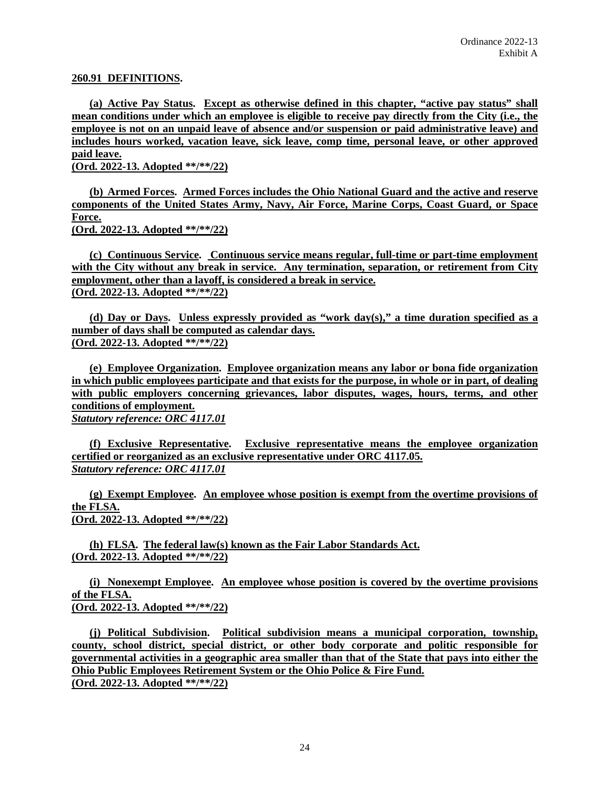#### **260.91 DEFINITIONS.**

**(a) Active Pay Status. Except as otherwise defined in this chapter, "active pay status" shall mean conditions under which an employee is eligible to receive pay directly from the City (i.e., the employee is not on an unpaid leave of absence and/or suspension or paid administrative leave) and includes hours worked, vacation leave, sick leave, comp time, personal leave, or other approved paid leave.**

**(Ord. 2022-13. Adopted \*\*/\*\*/22)**

**(b) Armed Forces. Armed Forces includes the Ohio National Guard and the active and reserve components of the United States Army, Navy, Air Force, Marine Corps, Coast Guard, or Space Force. (Ord. 2022-13. Adopted \*\*/\*\*/22)**

**(c) Continuous Service. Continuous service means regular, full-time or part-time employment**  with the City without any break in service. Any termination, separation, or retirement from City **employment, other than a layoff, is considered a break in service. (Ord. 2022-13. Adopted \*\*/\*\*/22)**

**(d) Day or Days. Unless expressly provided as "work day(s)," a time duration specified as a number of days shall be computed as calendar days. (Ord. 2022-13. Adopted \*\*/\*\*/22)**

**(e) Employee Organization. Employee organization means any labor or bona fide organization in which public employees participate and that exists for the purpose, in whole or in part, of dealing with public employers concerning grievances, labor disputes, wages, hours, terms, and other conditions of employment.** *Statutory reference: ORC 4117.01*

**(f) Exclusive Representative. Exclusive representative means the employee organization certified or reorganized as an exclusive representative under ORC 4117.05.** *Statutory reference: ORC 4117.01*

**(g) Exempt Employee. An employee whose position is exempt from the overtime provisions of the FLSA. (Ord. 2022-13. Adopted \*\*/\*\*/22)**

**(h) FLSA. The federal law(s) known as the Fair Labor Standards Act. (Ord. 2022-13. Adopted \*\*/\*\*/22)**

**(i) Nonexempt Employee. An employee whose position is covered by the overtime provisions of the FLSA. (Ord. 2022-13. Adopted \*\*/\*\*/22)**

**(j) Political Subdivision. Political subdivision means a municipal corporation, township, county, school district, special district, or other body corporate and politic responsible for governmental activities in a geographic area smaller than that of the State that pays into either the Ohio Public Employees Retirement System or the Ohio Police & Fire Fund. (Ord. 2022-13. Adopted \*\*/\*\*/22)**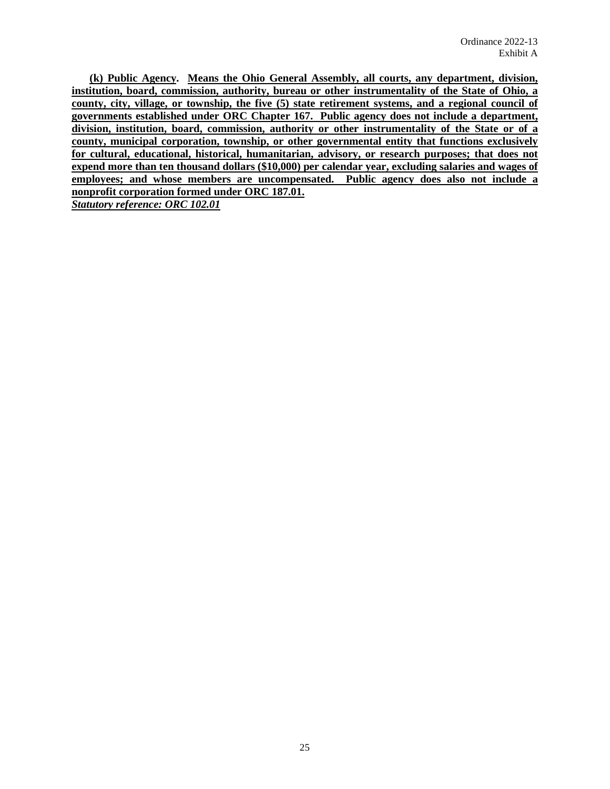**(k) Public Agency. Means the Ohio General Assembly, all courts, any department, division, institution, board, commission, authority, bureau or other instrumentality of the State of Ohio, a county, city, village, or township, the five (5) state retirement systems, and a regional council of governments established under ORC Chapter 167. Public agency does not include a department, division, institution, board, commission, authority or other instrumentality of the State or of a county, municipal corporation, township, or other governmental entity that functions exclusively for cultural, educational, historical, humanitarian, advisory, or research purposes; that does not expend more than ten thousand dollars (\$10,000) per calendar year, excluding salaries and wages of employees; and whose members are uncompensated. Public agency does also not include a nonprofit corporation formed under ORC 187.01.**  *Statutory reference: ORC 102.01*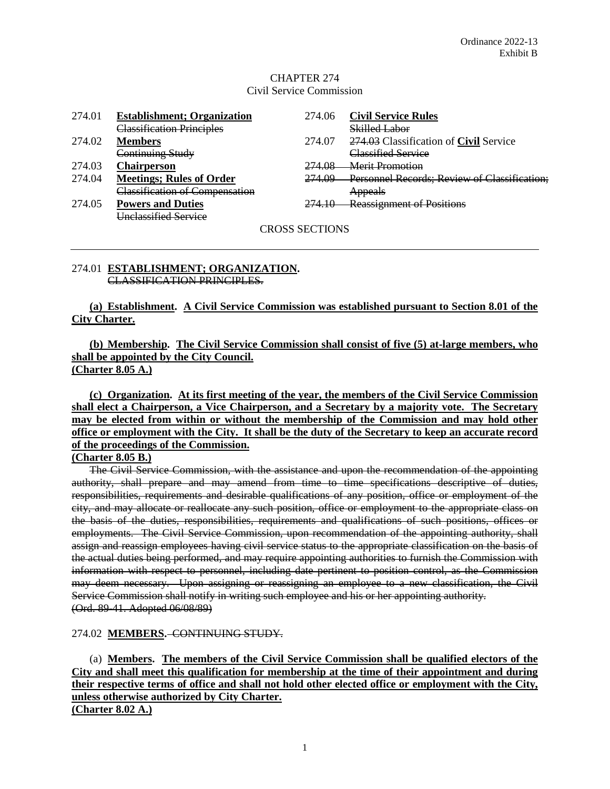### CHAPTER 274 Civil Service Commission

| 274.01         | <b>Establishment</b> ; Organization | 274.06 | <b>Civil Service Rules</b>                    |  |  |  |  |  |
|----------------|-------------------------------------|--------|-----------------------------------------------|--|--|--|--|--|
|                | Classification Principles           |        | Skilled Labor                                 |  |  |  |  |  |
| 274.02         | <b>Members</b>                      | 274.07 | 274.03 Classification of <b>Civil</b> Service |  |  |  |  |  |
|                | Continuing Study                    |        | <b>Classified Service</b>                     |  |  |  |  |  |
| 274.03         | <b>Chairperson</b>                  | 274.08 | Merit Promotion                               |  |  |  |  |  |
| 274.04         | <b>Meetings; Rules of Order</b>     | 274.09 | Personnel Records; Review of Classification;  |  |  |  |  |  |
|                | Classification of Compensation      |        | <b>Appeals</b>                                |  |  |  |  |  |
| 274.05         | <b>Powers and Duties</b>            | 274.10 | <b>Reassignment of Positions</b>              |  |  |  |  |  |
|                | Unclassified Service                |        |                                               |  |  |  |  |  |
| CROSS SECTIONS |                                     |        |                                               |  |  |  |  |  |

#### 274.01 **ESTABLISHMENT; ORGANIZATION.** CLASSIFICATION PRINCIPLES.

**(a) Establishment. A Civil Service Commission was established pursuant to Section 8.01 of the City Charter.**

**(b) Membership. The Civil Service Commission shall consist of five (5) at-large members, who shall be appointed by the City Council. (Charter 8.05 A.)**

**(c) Organization. At its first meeting of the year, the members of the Civil Service Commission shall elect a Chairperson, a Vice Chairperson, and a Secretary by a majority vote. The Secretary may be elected from within or without the membership of the Commission and may hold other office or employment with the City. It shall be the duty of the Secretary to keep an accurate record of the proceedings of the Commission.**

#### **(Charter 8.05 B.)**

The Civil Service Commission, with the assistance and upon the recommendation of the appointing authority, shall prepare and may amend from time to time specifications descriptive of duties, responsibilities, requirements and desirable qualifications of any position, office or employment of the city, and may allocate or reallocate any such position, office or employment to the appropriate class on the basis of the duties, responsibilities, requirements and qualifications of such positions, offices or employments. The Civil Service Commission, upon recommendation of the appointing authority, shall assign and reassign employees having civil service status to the appropriate classification on the basis of the actual duties being performed, and may require appointing authorities to furnish the Commission with information with respect to personnel, including date pertinent to position control, as the Commission may deem necessary. Upon assigning or reassigning an employee to a new classification, the Civil Service Commission shall notify in writing such employee and his or her appointing authority. (Ord. 89-41. Adopted 06/08/89)

#### 274.02 **MEMBERS.** CONTINUING STUDY.

(a) **Members. The members of the Civil Service Commission shall be qualified electors of the City and shall meet this qualification for membership at the time of their appointment and during their respective terms of office and shall not hold other elected office or employment with the City, unless otherwise authorized by City Charter.**

**(Charter 8.02 A.)**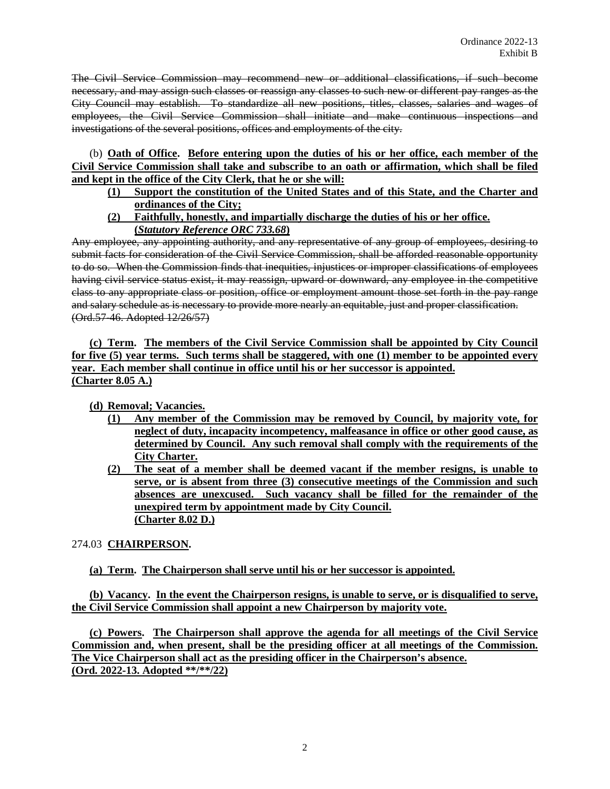The Civil Service Commission may recommend new or additional classifications, if such become necessary, and may assign such classes or reassign any classes to such new or different pay ranges as the City Council may establish. To standardize all new positions, titles, classes, salaries and wages of employees, the Civil Service Commission shall initiate and make continuous inspections and investigations of the several positions, offices and employments of the city.

(b) **Oath of Office. Before entering upon the duties of his or her office, each member of the Civil Service Commission shall take and subscribe to an oath or affirmation, which shall be filed and kept in the office of the City Clerk, that he or she will:**

- **(1) Support the constitution of the United States and of this State, and the Charter and ordinances of the City;**
- **(2) Faithfully, honestly, and impartially discharge the duties of his or her office. (***Statutory Reference ORC 733.68***)**

Any employee, any appointing authority, and any representative of any group of employees, desiring to submit facts for consideration of the Civil Service Commission, shall be afforded reasonable opportunity to do so. When the Commission finds that inequities, injustices or improper classifications of employees having civil service status exist, it may reassign, upward or downward, any employee in the competitive class to any appropriate class or position, office or employment amount those set forth in the pay range and salary schedule as is necessary to provide more nearly an equitable, just and proper classification. (Ord.57-46. Adopted 12/26/57)

**(c) Term. The members of the Civil Service Commission shall be appointed by City Council for five (5) year terms. Such terms shall be staggered, with one (1) member to be appointed every year. Each member shall continue in office until his or her successor is appointed. (Charter 8.05 A.)**

**(d) Removal; Vacancies.**

- **(1) Any member of the Commission may be removed by Council, by majority vote, for neglect of duty, incapacity incompetency, malfeasance in office or other good cause, as determined by Council. Any such removal shall comply with the requirements of the City Charter.**
- **(2) The seat of a member shall be deemed vacant if the member resigns, is unable to serve, or is absent from three (3) consecutive meetings of the Commission and such absences are unexcused. Such vacancy shall be filled for the remainder of the unexpired term by appointment made by City Council. (Charter 8.02 D.)**

# 274.03 **CHAIRPERSON.**

# **(a) Term. The Chairperson shall serve until his or her successor is appointed.**

**(b) Vacancy. In the event the Chairperson resigns, is unable to serve, or is disqualified to serve, the Civil Service Commission shall appoint a new Chairperson by majority vote.** 

**(c) Powers. The Chairperson shall approve the agenda for all meetings of the Civil Service Commission and, when present, shall be the presiding officer at all meetings of the Commission. The Vice Chairperson shall act as the presiding officer in the Chairperson's absence. (Ord. 2022-13. Adopted \*\*/\*\*/22)**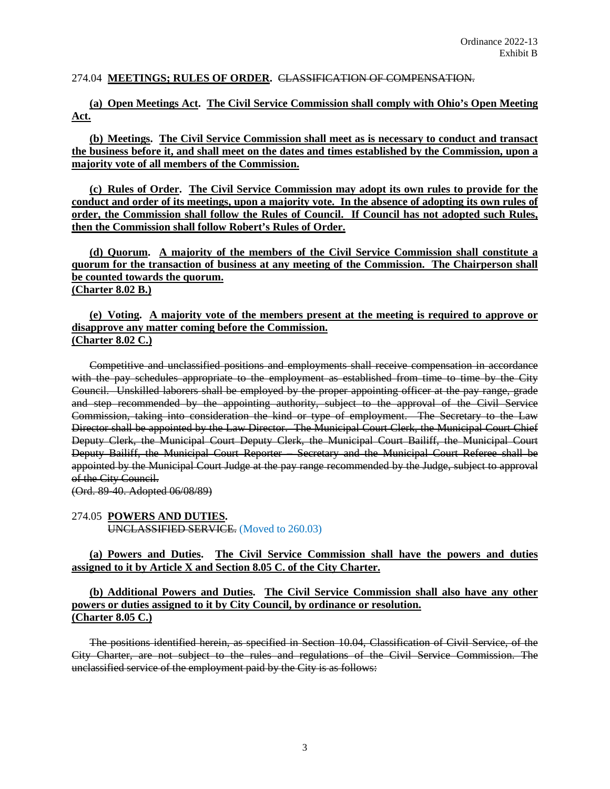#### 274.04 **MEETINGS; RULES OF ORDER.** CLASSIFICATION OF COMPENSATION.

**(a) Open Meetings Act. The Civil Service Commission shall comply with Ohio's Open Meeting Act.**

**(b) Meetings. The Civil Service Commission shall meet as is necessary to conduct and transact the business before it, and shall meet on the dates and times established by the Commission, upon a majority vote of all members of the Commission.**

**(c) Rules of Order. The Civil Service Commission may adopt its own rules to provide for the conduct and order of its meetings, upon a majority vote. In the absence of adopting its own rules of order, the Commission shall follow the Rules of Council. If Council has not adopted such Rules, then the Commission shall follow Robert's Rules of Order.**

**(d) Quorum. A majority of the members of the Civil Service Commission shall constitute a quorum for the transaction of business at any meeting of the Commission. The Chairperson shall be counted towards the quorum. (Charter 8.02 B.)**

#### **(e) Voting. A majority vote of the members present at the meeting is required to approve or disapprove any matter coming before the Commission. (Charter 8.02 C.)**

Competitive and unclassified positions and employments shall receive compensation in accordance with the pay schedules appropriate to the employment as established from time to time by the City Council. Unskilled laborers shall be employed by the proper appointing officer at the pay range, grade and step recommended by the appointing authority, subject to the approval of the Civil Service Commission, taking into consideration the kind or type of employment. The Secretary to the Law Director shall be appointed by the Law Director. The Municipal Court Clerk, the Municipal Court Chief Deputy Clerk, the Municipal Court Deputy Clerk, the Municipal Court Bailiff, the Municipal Court Deputy Bailiff, the Municipal Court Reporter – Secretary and the Municipal Court Referee shall be appointed by the Municipal Court Judge at the pay range recommended by the Judge, subject to approval of the City Council.

(Ord. 89-40. Adopted 06/08/89)

#### 274.05 **POWERS AND DUTIES.** UNCLASSIFIED SERVICE. (Moved to 260.03)

### **(a) Powers and Duties. The Civil Service Commission shall have the powers and duties assigned to it by Article X and Section 8.05 C. of the City Charter.**

#### **(b) Additional Powers and Duties. The Civil Service Commission shall also have any other powers or duties assigned to it by City Council, by ordinance or resolution. (Charter 8.05 C.)**

The positions identified herein, as specified in Section 10.04, Classification of Civil Service, of the City Charter, are not subject to the rules and regulations of the Civil Service Commission. The unclassified service of the employment paid by the City is as follows: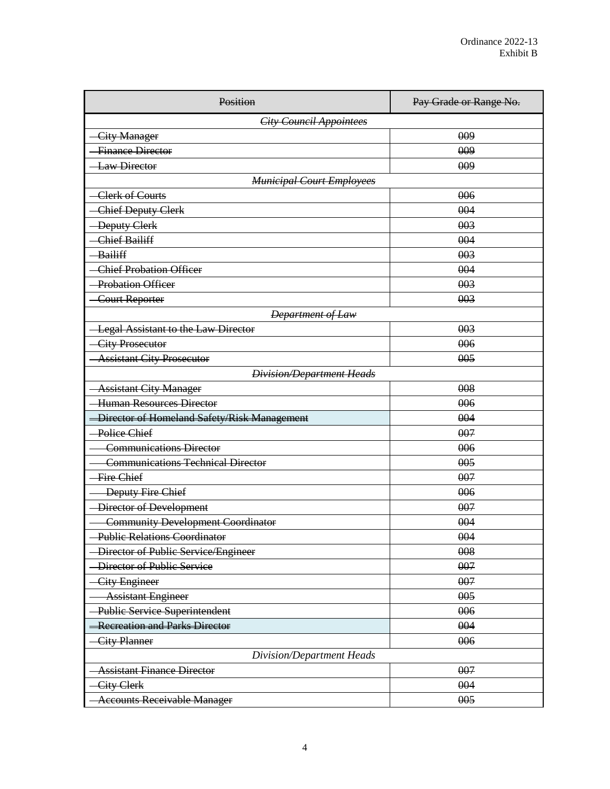| Position                                     | Pay Grade or Range No. |  |  |  |  |  |  |  |  |
|----------------------------------------------|------------------------|--|--|--|--|--|--|--|--|
| <b>City Council Appointees</b>               |                        |  |  |  |  |  |  |  |  |
| -City Manager                                | 009                    |  |  |  |  |  |  |  |  |
| <b>Finance Director</b>                      | 009                    |  |  |  |  |  |  |  |  |
| <b>-Law Director</b>                         | 009                    |  |  |  |  |  |  |  |  |
| <b>Municipal Court Employees</b>             |                        |  |  |  |  |  |  |  |  |
| <b>Clerk of Courts</b>                       | 006                    |  |  |  |  |  |  |  |  |
| <b>Chief Deputy Clerk</b>                    | 004                    |  |  |  |  |  |  |  |  |
| -Deputy Clerk                                | 003                    |  |  |  |  |  |  |  |  |
| <b>Chief Bailiff</b>                         | 004                    |  |  |  |  |  |  |  |  |
| Bailiff                                      | 003                    |  |  |  |  |  |  |  |  |
| <b>Chief Probation Officer</b>               | 004                    |  |  |  |  |  |  |  |  |
| <b>Probation Officer</b>                     | 003                    |  |  |  |  |  |  |  |  |
| <b>Court Reporter</b>                        | 003                    |  |  |  |  |  |  |  |  |
| <b>Department of Law</b>                     |                        |  |  |  |  |  |  |  |  |
| -Legal Assistant to the Law Director         | 003                    |  |  |  |  |  |  |  |  |
| -City Prosecutor                             | 006                    |  |  |  |  |  |  |  |  |
| <b>Assistant City Prosecutor</b>             | 005                    |  |  |  |  |  |  |  |  |
| <b>Division/Department Heads</b>             |                        |  |  |  |  |  |  |  |  |
| <b>Assistant City Manager</b>                | 008                    |  |  |  |  |  |  |  |  |
| <b>Human Resources Director</b>              | 006                    |  |  |  |  |  |  |  |  |
| -Director of Homeland Safety/Risk Management | 004                    |  |  |  |  |  |  |  |  |
| Police Chief                                 | 007                    |  |  |  |  |  |  |  |  |
| <b>Communications Director</b>               | 006                    |  |  |  |  |  |  |  |  |
| <b>Communications Technical Director</b>     | 005                    |  |  |  |  |  |  |  |  |
| Fire Chief                                   | 007                    |  |  |  |  |  |  |  |  |
| <b>Deputy Fire Chief</b>                     | 006                    |  |  |  |  |  |  |  |  |
| -Director of Development                     | 007                    |  |  |  |  |  |  |  |  |
| <b>Community Development Coordinator</b>     | 004                    |  |  |  |  |  |  |  |  |
| <b>Public Relations Coordinator</b>          | 004                    |  |  |  |  |  |  |  |  |
| Director of Public Service/Engineer          | 008                    |  |  |  |  |  |  |  |  |
| <b>Director of Public Service</b>            | 007                    |  |  |  |  |  |  |  |  |
| City Engineer                                | 007                    |  |  |  |  |  |  |  |  |
| <b>Assistant Engineer</b>                    | 005                    |  |  |  |  |  |  |  |  |
| Public Service Superintendent                | 006                    |  |  |  |  |  |  |  |  |
| <b>Recreation and Parks Director</b>         | 004                    |  |  |  |  |  |  |  |  |
| <b>City Planner</b>                          | 006                    |  |  |  |  |  |  |  |  |
| Division/Department Heads                    |                        |  |  |  |  |  |  |  |  |
| <b>Assistant Finance Director</b>            | 007                    |  |  |  |  |  |  |  |  |
| <b>City Clerk</b>                            | 004                    |  |  |  |  |  |  |  |  |
| <b>Accounts Receivable Manager</b>           | 005                    |  |  |  |  |  |  |  |  |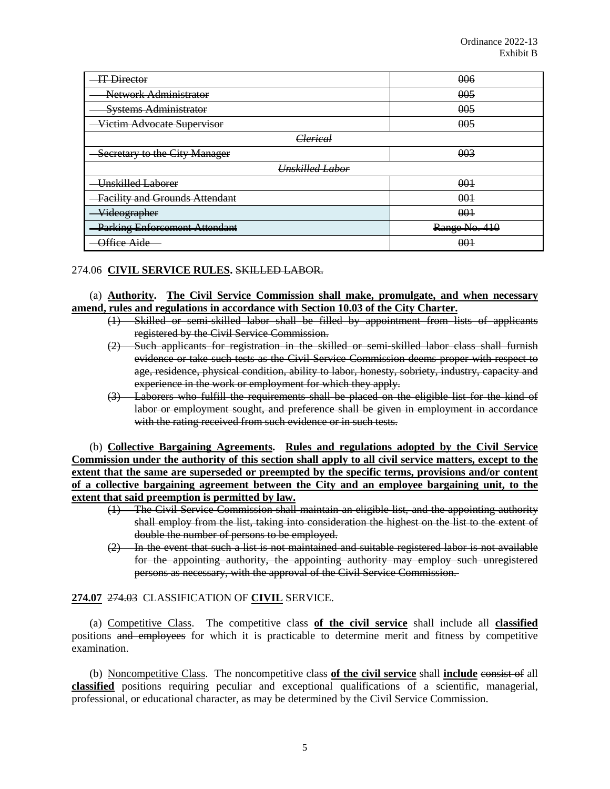| IT Director                           | 006           |  |  |  |  |
|---------------------------------------|---------------|--|--|--|--|
| Network Administrator                 | 005           |  |  |  |  |
| <b>Systems Administrator</b>          | 005           |  |  |  |  |
| Victim Advocate Supervisor            | 005           |  |  |  |  |
| Clerical                              |               |  |  |  |  |
| Secretary to the City Manager         | 003           |  |  |  |  |
| <b>Unskilled Labor</b>                |               |  |  |  |  |
| Unskilled Laborer                     | 001           |  |  |  |  |
| <b>Facility and Grounds Attendant</b> | 001           |  |  |  |  |
| <del>Videographer</del>               | 001           |  |  |  |  |
| <b>Parking Enforcement Attendant</b>  | Range No. 410 |  |  |  |  |
| Office Aide                           | 001           |  |  |  |  |

### 274.06 **CIVIL SERVICE RULES.** SKILLED LABOR.

#### (a) **Authority. The Civil Service Commission shall make, promulgate, and when necessary amend, rules and regulations in accordance with Section 10.03 of the City Charter.**

- (1) Skilled or semi-skilled labor shall be filled by appointment from lists of applicants registered by the Civil Service Commission.
- (2) Such applicants for registration in the skilled or semi-skilled labor class shall furnish evidence or take such tests as the Civil Service Commission deems proper with respect to age, residence, physical condition, ability to labor, honesty, sobriety, industry, capacity and experience in the work or employment for which they apply.
- (3) Laborers who fulfill the requirements shall be placed on the eligible list for the kind of labor or employment sought, and preference shall be given in employment in accordance with the rating received from such evidence or in such tests.

(b) **Collective Bargaining Agreements. Rules and regulations adopted by the Civil Service Commission under the authority of this section shall apply to all civil service matters, except to the extent that the same are superseded or preempted by the specific terms, provisions and/or content of a collective bargaining agreement between the City and an employee bargaining unit, to the extent that said preemption is permitted by law.**

- (1) The Civil Service Commission shall maintain an eligible list, and the appointing authority shall employ from the list, taking into consideration the highest on the list to the extent of double the number of persons to be employed.
- (2) In the event that such a list is not maintained and suitable registered labor is not available for the appointing authority, the appointing authority may employ such unregistered persons as necessary, with the approval of the Civil Service Commission.

### **274.07** 274.03 CLASSIFICATION OF **CIVIL** SERVICE.

(a) Competitive Class. The competitive class **of the civil service** shall include all **classified** positions and employees for which it is practicable to determine merit and fitness by competitive examination.

(b) Noncompetitive Class. The noncompetitive class **of the civil service** shall **include** consist of all **classified** positions requiring peculiar and exceptional qualifications of a scientific, managerial, professional, or educational character, as may be determined by the Civil Service Commission.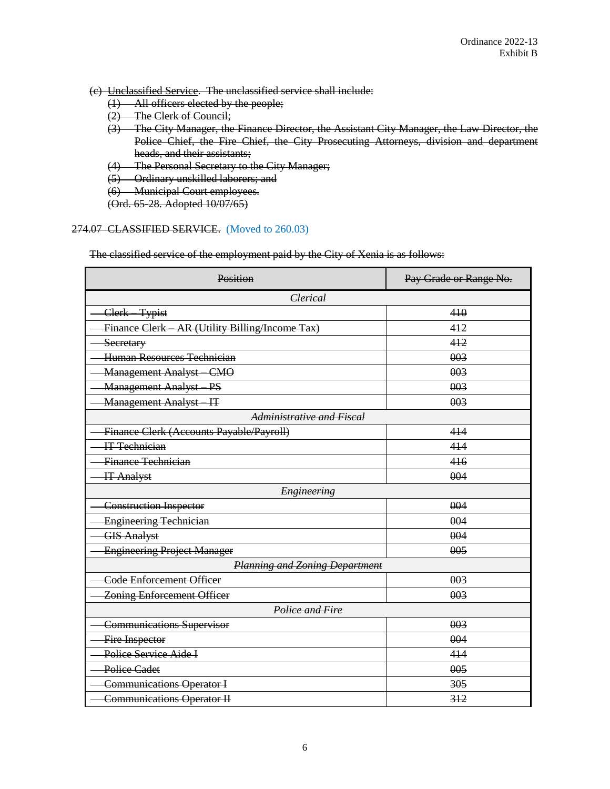- (c) Unclassified Service. The unclassified service shall include:
	- (1) All officers elected by the people;
	- (2) The Clerk of Council;
	- (3) The City Manager, the Finance Director, the Assistant City Manager, the Law Director, the Police Chief, the Fire Chief, the City Prosecuting Attorneys, division and department heads, and their assistants;
	- (4) The Personal Secretary to the City Manager;
	- (5) Ordinary unskilled laborers; and
	- (6) Municipal Court employees.
	- (Ord. 65-28. Adopted 10/07/65)

# 274.07 CLASSIFIED SERVICE. (Moved to 260.03)

The classified service of the employment paid by the City of Xenia is as follows:

| Position                                        | Pay Grade or Range No. |
|-------------------------------------------------|------------------------|
| <b>Clerical</b>                                 |                        |
| Clerk-Typist                                    | 410                    |
| Finance Clerk - AR (Utility Billing/Income Tax) | 412                    |
| Secretary                                       | 412                    |
| Human Resources Technician                      | 003                    |
| <b>Management Analyst - CMO</b>                 | 003                    |
| <b>Management Analyst PS</b>                    | 003                    |
| <b>Management Analyst-IT</b>                    | 003                    |
| Administrative and Fiscal                       |                        |
| Finance Clerk (Accounts Payable/Payroll)        | 414                    |
| <b>IT Technician</b>                            | 414                    |
| Finance Technician                              | 416                    |
| <b>IT Analyst</b>                               | 004                    |
| <b>Engineering</b>                              |                        |
| <b>Construction Inspector</b>                   | 004                    |
| Engineering Technician                          | 004                    |
| <b>GIS Analyst</b>                              | 004                    |
| <b>Engineering Project Manager</b>              | 005                    |
| <b>Planning and Zoning Department</b>           |                        |
| <b>Code Enforcement Officer</b>                 | 003                    |
| <b>Zoning Enforcement Officer</b>               | 003                    |
| Police and Fire                                 |                        |
| <b>Communications Supervisor</b>                | 003                    |
| Fire Inspector                                  | 004                    |
| Police Service Aide I                           | 414                    |
| <b>Police Cadet</b>                             | 005                    |
| <b>Communications Operator I</b>                | 305                    |
| <b>Communications Operator II</b>               | 312                    |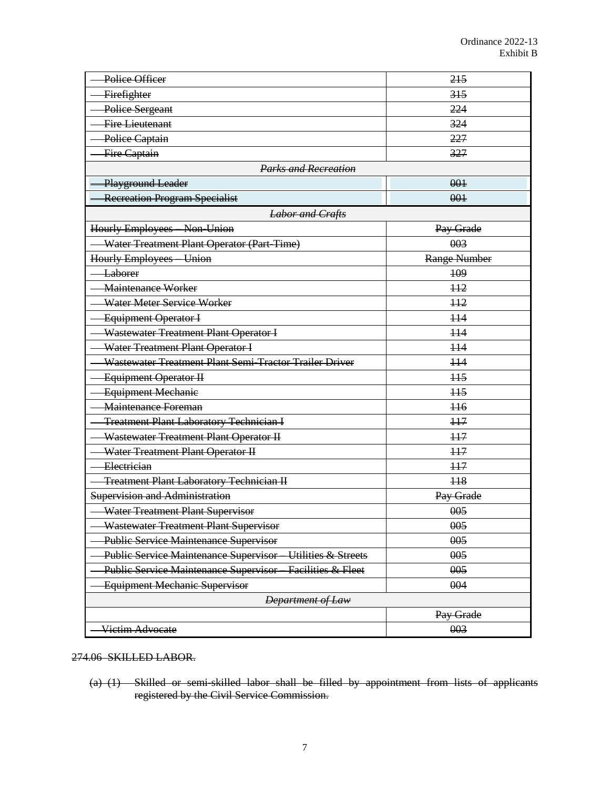| Police Officer                                                      | 215              |  |
|---------------------------------------------------------------------|------------------|--|
| Firefighter                                                         | 315              |  |
| Police Sergeant                                                     | 224              |  |
| <b>Fire Lieutenant</b>                                              | 324              |  |
| Police Captain                                                      | 227              |  |
| Fire Captain                                                        | 327              |  |
| <b>Parks and Recreation</b>                                         |                  |  |
| Playground Leader                                                   | 001              |  |
| <b>Recreation Program Specialist</b>                                | 001              |  |
| <b>Labor and Crafts</b>                                             |                  |  |
| Hourly Employees Non-Union                                          | Pay Grade        |  |
| Water Treatment Plant Operator (Part-Time)                          | 003              |  |
| Hourly Employees Union                                              | Range Number     |  |
| Laborer                                                             | 109              |  |
| Maintenance Worker                                                  | $+12$            |  |
| Water Meter Service Worker                                          | H <sub>2</sub>   |  |
| Equipment Operator I                                                | $+14$            |  |
| Wastewater Treatment Plant Operator I                               | $\overline{114}$ |  |
| Water Treatment Plant Operator I                                    | $+14$            |  |
| Wastewater Treatment Plant Semi-Tractor Trailer Driver              | $+14$            |  |
| Equipment Operator II                                               | H <sub>5</sub>   |  |
| <b>Equipment Mechanie</b>                                           | H <sub>5</sub>   |  |
| Maintenance Foreman                                                 | $+16$            |  |
| <b>Treatment Plant Laboratory Technician I</b>                      | H7               |  |
| Wastewater Treatment Plant Operator II                              | H7               |  |
| Water Treatment Plant Operator II                                   | $+17$            |  |
| Electrician                                                         | $+17$            |  |
| <b>Treatment Plant Laboratory Technician II</b>                     | H <sub>8</sub>   |  |
| <b>Supervision and Administration</b>                               | Pay Grade        |  |
| Water Treatment Plant Supervisor                                    | 005              |  |
| Wastewater Treatment Plant Supervisor                               | 005              |  |
| <b>Public Service Maintenance Supervisor</b>                        | 005              |  |
| Utilities & Streets<br><b>Public Service Maintenance Supervisor</b> | 005              |  |
| Facilities & Fleet<br>Public Service Maintenance Supervisor         | 005              |  |
| Equipment Mechanic Supervisor                                       | 004              |  |
| <b>Department of Law</b>                                            |                  |  |
|                                                                     | Pay Grade        |  |
| Victim Advocate                                                     | 003              |  |

#### 274.06 SKILLED LABOR.

(a) (1) Skilled or semi-skilled labor shall be filled by appointment from lists of applicants registered by the Civil Service Commission.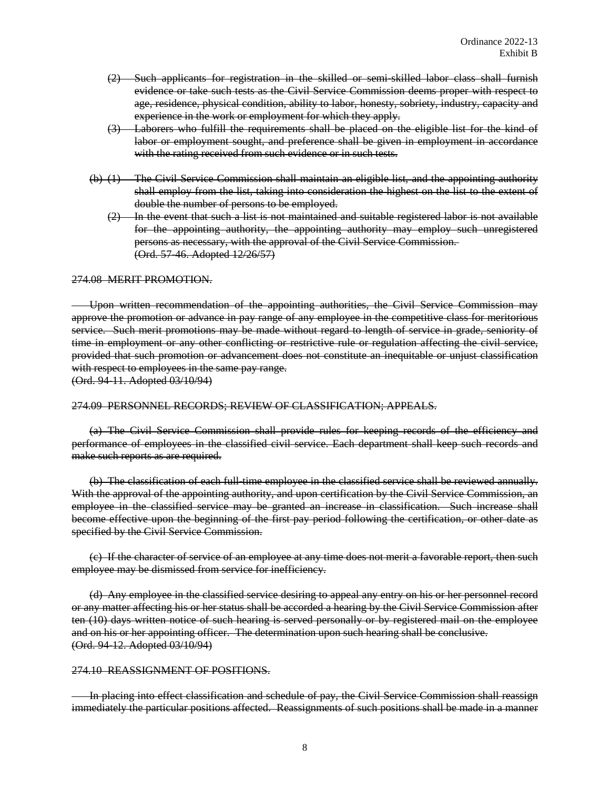- (2) Such applicants for registration in the skilled or semi-skilled labor class shall furnish evidence or take such tests as the Civil Service Commission deems proper with respect to age, residence, physical condition, ability to labor, honesty, sobriety, industry, capacity and experience in the work or employment for which they apply.
- (3) Laborers who fulfill the requirements shall be placed on the eligible list for the kind of labor or employment sought, and preference shall be given in employment in accordance with the rating received from such evidence or in such tests.
- (b) (1) The Civil Service Commission shall maintain an eligible list, and the appointing authority shall employ from the list, taking into consideration the highest on the list to the extent of double the number of persons to be employed.
	- $(2)$  In the event that such a list is not maintained and suitable registered labor is not available for the appointing authority, the appointing authority may employ such unregistered persons as necessary, with the approval of the Civil Service Commission. (Ord. 57-46. Adopted 12/26/57)

#### 274.08 MERIT PROMOTION.

Upon written recommendation of the appointing authorities, the Civil Service Commission may approve the promotion or advance in pay range of any employee in the competitive class for meritorious service. Such merit promotions may be made without regard to length of service in grade, seniority of time in employment or any other conflicting or restrictive rule or regulation affecting the civil service, provided that such promotion or advancement does not constitute an inequitable or unjust classification with respect to employees in the same pay range.

(Ord. 94-11. Adopted 03/10/94)

#### 274.09 PERSONNEL RECORDS; REVIEW OF CLASSIFICATION; APPEALS.

(a) The Civil Service Commission shall provide rules for keeping records of the efficiency and performance of employees in the classified civil service. Each department shall keep such records and make such reports as are required.

(b) The classification of each full-time employee in the classified service shall be reviewed annually. With the approval of the appointing authority, and upon certification by the Civil Service Commission, an employee in the classified service may be granted an increase in classification. Such increase shall become effective upon the beginning of the first pay period following the certification, or other date as specified by the Civil Service Commission.

(c) If the character of service of an employee at any time does not merit a favorable report, then such employee may be dismissed from service for inefficiency.

(d) Any employee in the classified service desiring to appeal any entry on his or her personnel record or any matter affecting his or her status shall be accorded a hearing by the Civil Service Commission after ten (10) days written notice of such hearing is served personally or by registered mail on the employee and on his or her appointing officer. The determination upon such hearing shall be conclusive. (Ord. 94-12. Adopted 03/10/94)

#### 274.10 REASSIGNMENT OF POSITIONS.

In placing into effect classification and schedule of pay, the Civil Service Commission shall reassign immediately the particular positions affected. Reassignments of such positions shall be made in a manner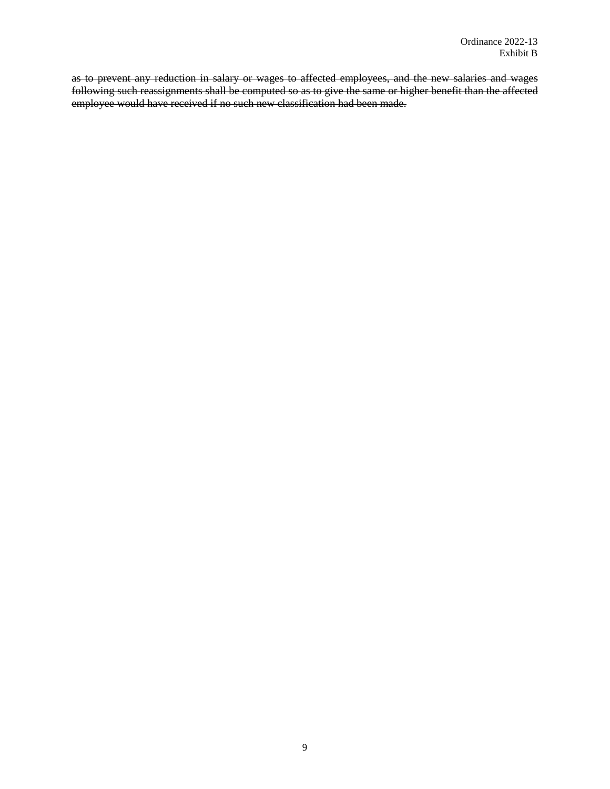as to prevent any reduction in salary or wages to affected employees, and the new salaries and wages following such reassignments shall be computed so as to give the same or higher benefit than the affected employee would have received if no such new classification had been made.